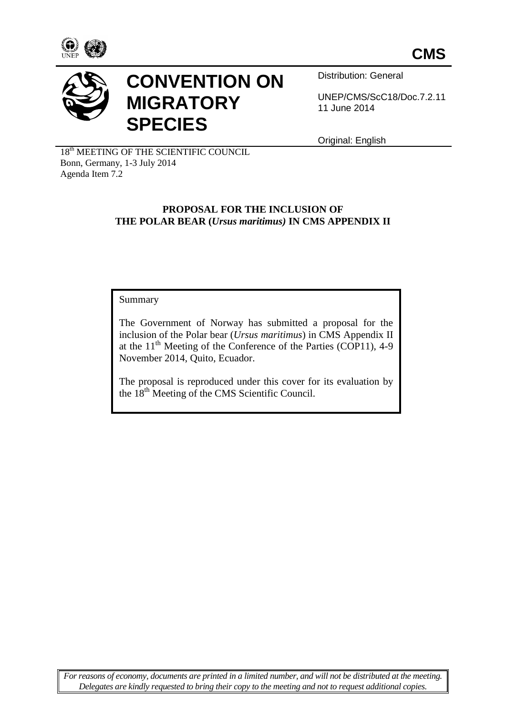



# **CONVENTION ON MIGRATORY SPECIES**

Distribution: General

UNEP/CMS/ScC18/Doc.7.2.11 11 June 2014

Original: English

18<sup>th</sup> MEETING OF THE SCIENTIFIC COUNCIL Bonn, Germany, 1-3 July 2014 Agenda Item 7.2

## **PROPOSAL FOR THE INCLUSION OF THE POLAR BEAR (***Ursus maritimus)* **IN CMS APPENDIX II**

Summary

The Government of Norway has submitted a proposal for the inclusion of the Polar bear (*Ursus maritimus*) in CMS Appendix II at the  $11<sup>th</sup>$  Meeting of the Conference of the Parties (COP11), 4-9 November 2014, Quito, Ecuador.

The proposal is reproduced under this cover for its evaluation by the 18th Meeting of the CMS Scientific Council.

*For reasons of economy, documents are printed in a limited number, and will not be distributed at the meeting. Delegates are kindly requested to bring their copy to the meeting and not to request additional copies.*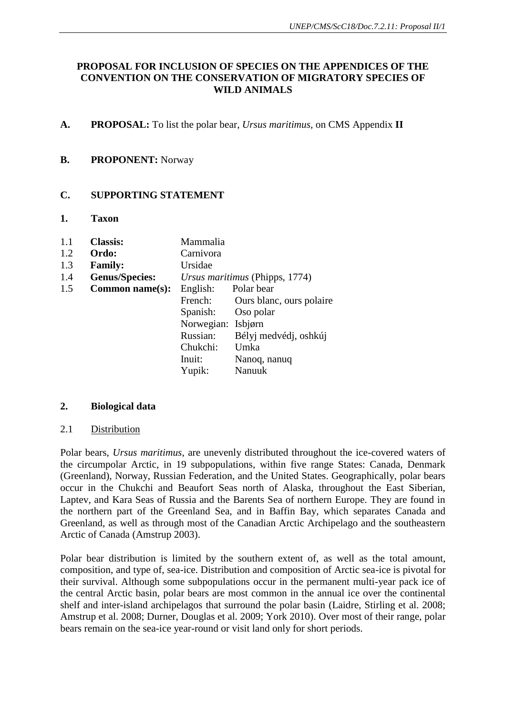# **PROPOSAL FOR INCLUSION OF SPECIES ON THE APPENDICES OF THE CONVENTION ON THE CONSERVATION OF MIGRATORY SPECIES OF WILD ANIMALS**

**A. PROPOSAL:** To list the polar bear, *Ursus maritimus,* on CMS Appendix **II**

#### **B. PROPONENT:** Norway

# **C. SUPPORTING STATEMENT**

**1. Taxon**

| 1.1 | <b>Classis:</b>       | Mammalia                       |                          |
|-----|-----------------------|--------------------------------|--------------------------|
| 1.2 | Ordo:                 | Carnivora                      |                          |
| 1.3 | <b>Family:</b>        | Ursidae                        |                          |
| 1.4 | <b>Genus/Species:</b> | Ursus maritimus (Phipps, 1774) |                          |
| 1.5 | Common name(s):       | English:                       | Polar bear               |
|     |                       | French:                        | Ours blanc, ours polaire |
|     |                       | Spanish:                       | Oso polar                |
|     |                       | Norwegian:                     | Isbjørn                  |
|     |                       | Russian:                       | Bélyj medvédj, oshkúj    |
|     |                       | Chukchi:                       | Umka                     |
|     |                       | Inuit:                         | Nanoq, nanuq             |
|     |                       | Yupik:                         | Nanuuk                   |

#### **2. Biological data**

#### 2.1 Distribution

Polar bears, *Ursus maritimus*, are unevenly distributed throughout the ice-covered waters of the circumpolar Arctic, in 19 subpopulations, within five range States: Canada, Denmark (Greenland), Norway, Russian Federation, and the United States. Geographically, polar bears occur in the Chukchi and Beaufort Seas north of Alaska, throughout the East Siberian, Laptev, and Kara Seas of Russia and the Barents Sea of northern Europe. They are found in the northern part of the Greenland Sea, and in Baffin Bay, which separates Canada and Greenland, as well as through most of the Canadian Arctic Archipelago and the southeastern Arctic of Canada (Amstrup 2003).

Polar bear distribution is limited by the southern extent of, as well as the total amount, composition, and type of, sea-ice. Distribution and composition of Arctic sea-ice is pivotal for their survival. Although some subpopulations occur in the permanent multi-year pack ice of the central Arctic basin, polar bears are most common in the annual ice over the continental shelf and inter-island archipelagos that surround the polar basin (Laidre, Stirling et al. 2008; Amstrup et al. 2008; Durner, Douglas et al. 2009; York 2010). Over most of their range, polar bears remain on the sea-ice year-round or visit land only for short periods.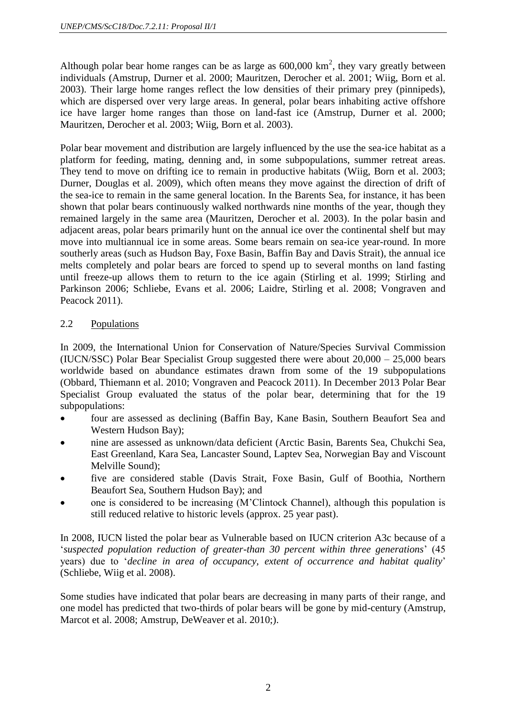Although polar bear home ranges can be as large as  $600,000 \text{ km}^2$ , they vary greatly between individuals (Amstrup, Durner et al. 2000; Mauritzen, Derocher et al. 2001; Wiig, Born et al. 2003). Their large home ranges reflect the low densities of their primary prey (pinnipeds), which are dispersed over very large areas. In general, polar bears inhabiting active offshore ice have larger home ranges than those on land-fast ice (Amstrup, Durner et al. 2000; Mauritzen, Derocher et al. 2003; Wiig, Born et al. 2003).

Polar bear movement and distribution are largely influenced by the use the sea-ice habitat as a platform for feeding, mating, denning and, in some subpopulations, summer retreat areas. They tend to move on drifting ice to remain in productive habitats (Wiig, Born et al. 2003; Durner, Douglas et al. 2009), which often means they move against the direction of drift of the sea-ice to remain in the same general location. In the Barents Sea, for instance, it has been shown that polar bears continuously walked northwards nine months of the year, though they remained largely in the same area (Mauritzen, Derocher et al. 2003). In the polar basin and adjacent areas, polar bears primarily hunt on the annual ice over the continental shelf but may move into multiannual ice in some areas. Some bears remain on sea-ice year-round. In more southerly areas (such as Hudson Bay, Foxe Basin, Baffin Bay and Davis Strait), the annual ice melts completely and polar bears are forced to spend up to several months on land fasting until freeze-up allows them to return to the ice again (Stirling et al. 1999; Stirling and Parkinson 2006; Schliebe, Evans et al. 2006; Laidre, Stirling et al. 2008; Vongraven and Peacock 2011).

# 2.2 Populations

In 2009, the International Union for Conservation of Nature/Species Survival Commission (IUCN/SSC) Polar Bear Specialist Group suggested there were about 20,000 – 25,000 bears worldwide based on abundance estimates drawn from some of the 19 subpopulations (Obbard, Thiemann et al. 2010; Vongraven and Peacock 2011). In December 2013 Polar Bear Specialist Group evaluated the status of the polar bear, determining that for the 19 subpopulations:

- four are assessed as declining (Baffin Bay, Kane Basin, Southern Beaufort Sea and Western Hudson Bay);
- nine are assessed as unknown/data deficient (Arctic Basin, Barents Sea, Chukchi Sea, East Greenland, Kara Sea, Lancaster Sound, Laptev Sea, Norwegian Bay and Viscount Melville Sound);
- five are considered stable (Davis Strait, Foxe Basin, Gulf of Boothia, Northern Beaufort Sea, Southern Hudson Bay); and
- one is considered to be increasing (M'Clintock Channel), although this population is still reduced relative to historic levels (approx. 25 year past).

In 2008, IUCN listed the polar bear as Vulnerable based on IUCN criterion A3c because of a '*suspected population reduction of greater-than 30 percent within three generations*' (45 years) due to '*decline in area of occupancy, extent of occurrence and habitat quality*' (Schliebe, Wiig et al. 2008).

Some studies have indicated that polar bears are decreasing in many parts of their range, and one model has predicted that two-thirds of polar bears will be gone by mid-century (Amstrup, Marcot et al. 2008; Amstrup, DeWeaver et al. 2010;).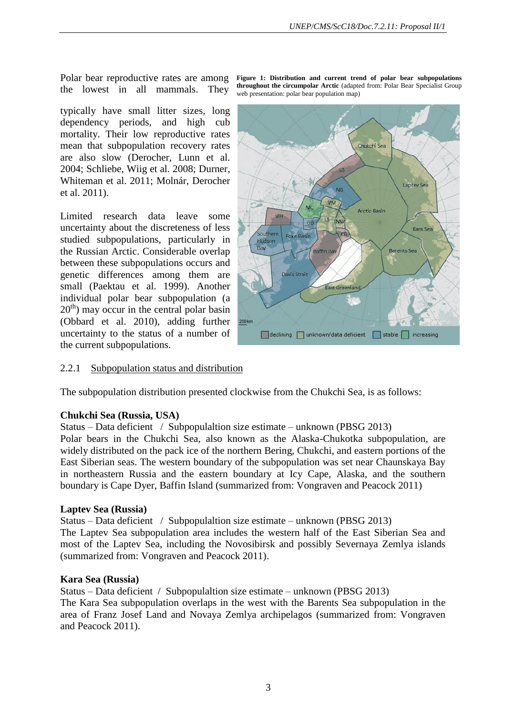the lowest in all mammals. They

typically have small litter sizes, long dependency periods, and high cub mortality. Their low reproductive rates mean that subpopulation recovery rates are also slow (Derocher, Lunn et al. 2004; Schliebe, Wiig et al. 2008; Durner, Whiteman et al. 2011; Molnár, Derocher et al. 2011).

Limited research data leave some uncertainty about the discreteness of less studied subpopulations, particularly in the Russian Arctic. Considerable overlap between these subpopulations occurs and genetic differences among them are small (Paektau et al. 1999). Another individual polar bear subpopulation (a  $20<sup>th</sup>$ ) may occur in the central polar basin (Obbard et al. 2010), adding further uncertainty to the status of a number of the current subpopulations.

Polar bear reproductive rates are among Figure 1: Distribution and current trend of polar bear subpopulations **throughout the circumpolar Arctic** (adapted from: Polar Bear Specialist Group web presentation: polar bear population map)



#### 2.2.1 Subpopulation status and distribution

The subpopulation distribution presented clockwise from the Chukchi Sea, is as follows:

#### **Chukchi Sea (Russia, USA)**

Status – Data deficient / Subpopulaltion size estimate – unknown (PBSG 2013)

Polar bears in the Chukchi Sea, also known as the Alaska-Chukotka subpopulation, are widely distributed on the pack ice of the northern Bering, Chukchi, and eastern portions of the East Siberian seas. The western boundary of the subpopulation was set near Chaunskaya Bay in northeastern Russia and the eastern boundary at Icy Cape, Alaska, and the southern boundary is Cape Dyer, Baffin Island (summarized from: Vongraven and Peacock 2011)

#### **Laptev Sea (Russia)**

Status – Data deficient / Subpopulaltion size estimate – unknown (PBSG 2013) The Laptev Sea subpopulation area includes the western half of the East Siberian Sea and most of the Laptev Sea, including the Novosibirsk and possibly Severnaya Zemlya islands (summarized from: Vongraven and Peacock 2011).

#### **Kara Sea (Russia)**

Status – Data deficient / Subpopulaltion size estimate – unknown (PBSG 2013) The Kara Sea subpopulation overlaps in the west with the Barents Sea subpopulation in the area of Franz Josef Land and Novaya Zemlya archipelagos (summarized from: Vongraven and Peacock 2011).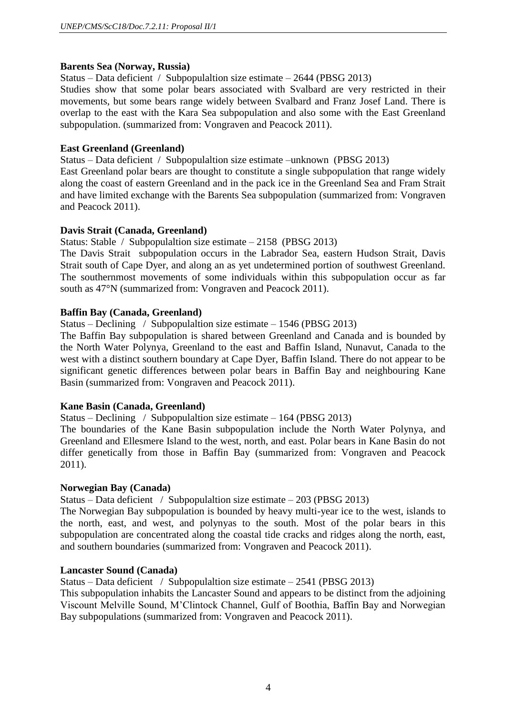## **Barents Sea (Norway, Russia)**

Status – Data deficient / Subpopulaltion size estimate – 2644 (PBSG 2013)

Studies show that some polar bears associated with Svalbard are very restricted in their movements, but some bears range widely between Svalbard and Franz Josef Land. There is overlap to the east with the Kara Sea subpopulation and also some with the East Greenland subpopulation. (summarized from: Vongraven and Peacock 2011).

## **East Greenland (Greenland)**

Status – Data deficient / Subpopulaltion size estimate –unknown (PBSG 2013)

East Greenland polar bears are thought to constitute a single subpopulation that range widely along the coast of eastern Greenland and in the pack ice in the Greenland Sea and Fram Strait and have limited exchange with the Barents Sea subpopulation (summarized from: Vongraven and Peacock 2011).

## **Davis Strait (Canada, Greenland)**

Status: Stable / Subpopulaltion size estimate – 2158 (PBSG 2013)

The Davis Strait subpopulation occurs in the Labrador Sea, eastern Hudson Strait, Davis Strait south of Cape Dyer, and along an as yet undetermined portion of southwest Greenland. The southernmost movements of some individuals within this subpopulation occur as far south as 47°N (summarized from: Vongraven and Peacock 2011).

## **Baffin Bay (Canada, Greenland)**

Status – Declining / Subpopulaltion size estimate – 1546 (PBSG 2013)

The Baffin Bay subpopulation is shared between Greenland and Canada and is bounded by the North Water Polynya, Greenland to the east and Baffin Island, Nunavut, Canada to the west with a distinct southern boundary at Cape Dyer, Baffin Island. There do not appear to be significant genetic differences between polar bears in Baffin Bay and neighbouring Kane Basin (summarized from: Vongraven and Peacock 2011).

#### **Kane Basin (Canada, Greenland)**

Status – Declining / Subpopulaltion size estimate – 164 (PBSG 2013)

The boundaries of the Kane Basin subpopulation include the North Water Polynya, and Greenland and Ellesmere Island to the west, north, and east. Polar bears in Kane Basin do not differ genetically from those in Baffin Bay (summarized from: Vongraven and Peacock 2011).

#### **Norwegian Bay (Canada)**

Status – Data deficient / Subpopulaltion size estimate – 203 (PBSG 2013)

The Norwegian Bay subpopulation is bounded by heavy multi-year ice to the west, islands to the north, east, and west, and polynyas to the south. Most of the polar bears in this subpopulation are concentrated along the coastal tide cracks and ridges along the north, east, and southern boundaries (summarized from: Vongraven and Peacock 2011).

#### **Lancaster Sound (Canada)**

Status – Data deficient / Subpopulaltion size estimate – 2541 (PBSG 2013)

This subpopulation inhabits the Lancaster Sound and appears to be distinct from the adjoining Viscount Melville Sound, M'Clintock Channel, Gulf of Boothia, Baffin Bay and Norwegian Bay subpopulations (summarized from: Vongraven and Peacock 2011).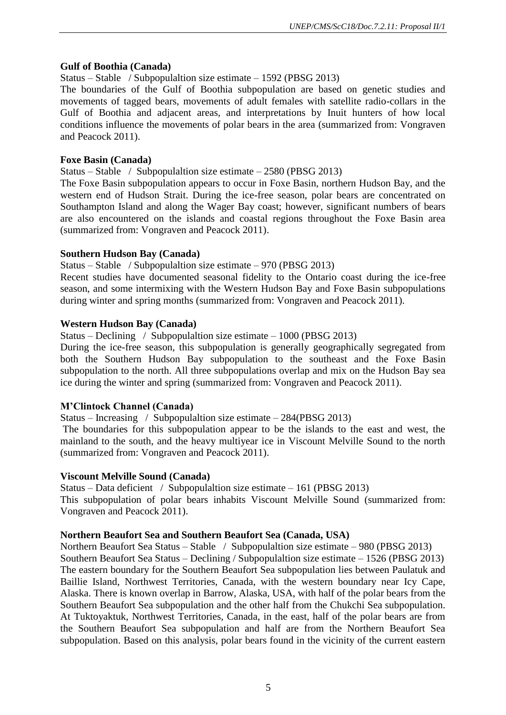# **Gulf of Boothia (Canada)**

# Status – Stable / Subpopulaltion size estimate – 1592 (PBSG 2013)

The boundaries of the Gulf of Boothia subpopulation are based on genetic studies and movements of tagged bears, movements of adult females with satellite radio-collars in the Gulf of Boothia and adjacent areas, and interpretations by Inuit hunters of how local conditions influence the movements of polar bears in the area (summarized from: Vongraven and Peacock 2011).

# **Foxe Basin (Canada)**

Status – Stable / Subpopulaltion size estimate – 2580 (PBSG 2013)

The Foxe Basin subpopulation appears to occur in Foxe Basin, northern Hudson Bay, and the western end of Hudson Strait. During the ice-free season, polar bears are concentrated on Southampton Island and along the Wager Bay coast; however, significant numbers of bears are also encountered on the islands and coastal regions throughout the Foxe Basin area (summarized from: Vongraven and Peacock 2011).

# **Southern Hudson Bay (Canada)**

Status – Stable / Subpopulaltion size estimate – 970 (PBSG 2013)

Recent studies have documented seasonal fidelity to the Ontario coast during the ice-free season, and some intermixing with the Western Hudson Bay and Foxe Basin subpopulations during winter and spring months (summarized from: Vongraven and Peacock 2011).

# **Western Hudson Bay (Canada)**

Status – Declining / Subpopulaltion size estimate – 1000 (PBSG 2013)

During the ice-free season, this subpopulation is generally geographically segregated from both the Southern Hudson Bay subpopulation to the southeast and the Foxe Basin subpopulation to the north. All three subpopulations overlap and mix on the Hudson Bay sea ice during the winter and spring (summarized from: Vongraven and Peacock 2011).

# **M'Clintock Channel (Canada)**

Status – Increasing / Subpopulaltion size estimate – 284(PBSG 2013)

The boundaries for this subpopulation appear to be the islands to the east and west, the mainland to the south, and the heavy multiyear ice in Viscount Melville Sound to the north (summarized from: Vongraven and Peacock 2011).

# **Viscount Melville Sound (Canada)**

Status – Data deficient / Subpopulaltion size estimate – 161 (PBSG 2013) This subpopulation of polar bears inhabits Viscount Melville Sound (summarized from: Vongraven and Peacock 2011).

# **Northern Beaufort Sea and Southern Beaufort Sea (Canada, USA)**

Northern Beaufort Sea Status – Stable / Subpopulaltion size estimate – 980 (PBSG 2013) Southern Beaufort Sea Status – Declining / Subpopulaltion size estimate – 1526 (PBSG 2013) The eastern boundary for the Southern Beaufort Sea subpopulation lies between Paulatuk and Baillie Island, Northwest Territories, Canada, with the western boundary near Icy Cape, Alaska. There is known overlap in Barrow, Alaska, USA, with half of the polar bears from the Southern Beaufort Sea subpopulation and the other half from the Chukchi Sea subpopulation. At Tuktoyaktuk, Northwest Territories, Canada, in the east, half of the polar bears are from the Southern Beaufort Sea subpopulation and half are from the Northern Beaufort Sea subpopulation. Based on this analysis, polar bears found in the vicinity of the current eastern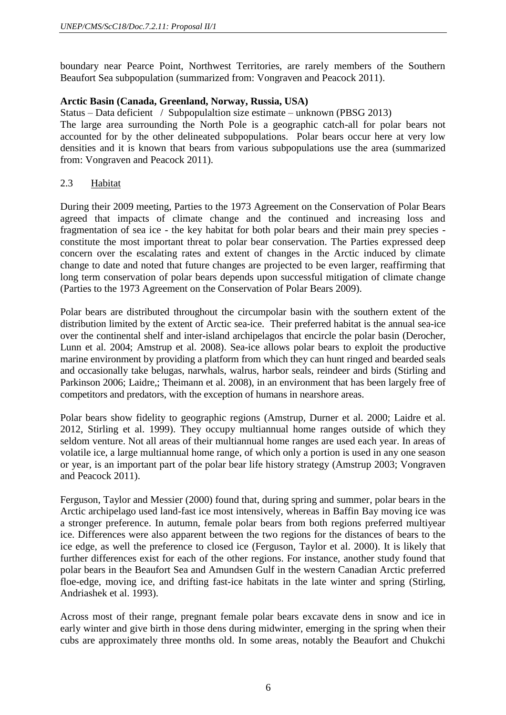boundary near Pearce Point, Northwest Territories, are rarely members of the Southern Beaufort Sea subpopulation (summarized from: Vongraven and Peacock 2011).

# **Arctic Basin (Canada, Greenland, Norway, Russia, USA)**

Status – Data deficient / Subpopulaltion size estimate – unknown (PBSG 2013)

The large area surrounding the North Pole is a geographic catch-all for polar bears not accounted for by the other delineated subpopulations. Polar bears occur here at very low densities and it is known that bears from various subpopulations use the area (summarized from: Vongraven and Peacock 2011).

## 2.3 Habitat

During their 2009 meeting, Parties to the 1973 Agreement on the Conservation of Polar Bears agreed that impacts of climate change and the continued and increasing loss and fragmentation of sea ice - the key habitat for both polar bears and their main prey species constitute the most important threat to polar bear conservation. The Parties expressed deep concern over the escalating rates and extent of changes in the Arctic induced by climate change to date and noted that future changes are projected to be even larger, reaffirming that long term conservation of polar bears depends upon successful mitigation of climate change (Parties to the 1973 Agreement on the Conservation of Polar Bears 2009).

Polar bears are distributed throughout the circumpolar basin with the southern extent of the distribution limited by the extent of Arctic sea-ice. Their preferred habitat is the annual sea-ice over the continental shelf and inter-island archipelagos that encircle the polar basin (Derocher, Lunn et al. 2004; Amstrup et al. 2008). Sea-ice allows polar bears to exploit the productive marine environment by providing a platform from which they can hunt ringed and bearded seals and occasionally take belugas, narwhals, walrus, harbor seals, reindeer and birds (Stirling and Parkinson 2006; Laidre,; Theimann et al. 2008), in an environment that has been largely free of competitors and predators, with the exception of humans in nearshore areas.

Polar bears show fidelity to geographic regions (Amstrup, Durner et al. 2000; Laidre et al. 2012, Stirling et al. 1999). They occupy multiannual home ranges outside of which they seldom venture. Not all areas of their multiannual home ranges are used each year. In areas of volatile ice, a large multiannual home range, of which only a portion is used in any one season or year, is an important part of the polar bear life history strategy (Amstrup 2003; Vongraven and Peacock 2011).

Ferguson, Taylor and Messier (2000) found that, during spring and summer, polar bears in the Arctic archipelago used land-fast ice most intensively, whereas in Baffin Bay moving ice was a stronger preference. In autumn, female polar bears from both regions preferred multiyear ice. Differences were also apparent between the two regions for the distances of bears to the ice edge, as well the preference to closed ice (Ferguson, Taylor et al. 2000). It is likely that further differences exist for each of the other regions. For instance, another study found that polar bears in the Beaufort Sea and Amundsen Gulf in the western Canadian Arctic preferred floe-edge, moving ice, and drifting fast-ice habitats in the late winter and spring (Stirling, Andriashek et al. 1993).

Across most of their range, pregnant female polar bears excavate dens in snow and ice in early winter and give birth in those dens during midwinter, emerging in the spring when their cubs are approximately three months old. In some areas, notably the Beaufort and Chukchi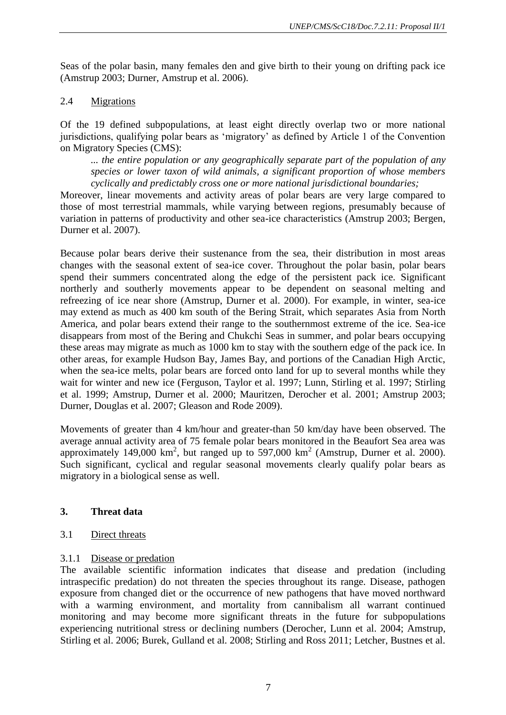Seas of the polar basin, many females den and give birth to their young on drifting pack ice (Amstrup 2003; Durner, Amstrup et al. 2006).

## 2.4 Migrations

Of the 19 defined subpopulations, at least eight directly overlap two or more national jurisdictions, qualifying polar bears as 'migratory' as defined by Article 1 of the Convention on Migratory Species (CMS):

*... the entire population or any geographically separate part of the population of any species or lower taxon of wild animals, a significant proportion of whose members cyclically and predictably cross one or more national jurisdictional boundaries;* 

Moreover, linear movements and activity areas of polar bears are very large compared to those of most terrestrial mammals, while varying between regions, presumably because of variation in patterns of productivity and other sea-ice characteristics (Amstrup 2003; Bergen, Durner et al. 2007).

Because polar bears derive their sustenance from the sea, their distribution in most areas changes with the seasonal extent of sea-ice cover. Throughout the polar basin, polar bears spend their summers concentrated along the edge of the persistent pack ice. Significant northerly and southerly movements appear to be dependent on seasonal melting and refreezing of ice near shore (Amstrup, Durner et al. 2000). For example, in winter, sea-ice may extend as much as 400 km south of the Bering Strait, which separates Asia from North America, and polar bears extend their range to the southernmost extreme of the ice. Sea-ice disappears from most of the Bering and Chukchi Seas in summer, and polar bears occupying these areas may migrate as much as 1000 km to stay with the southern edge of the pack ice. In other areas, for example Hudson Bay, James Bay, and portions of the Canadian High Arctic, when the sea-ice melts, polar bears are forced onto land for up to several months while they wait for winter and new ice (Ferguson, Taylor et al. 1997; Lunn, Stirling et al. 1997; Stirling et al. 1999; Amstrup, Durner et al. 2000; Mauritzen, Derocher et al. 2001; Amstrup 2003; Durner, Douglas et al. 2007; Gleason and Rode 2009).

Movements of greater than 4 km/hour and greater-than 50 km/day have been observed. The average annual activity area of 75 female polar bears monitored in the Beaufort Sea area was approximately 149,000  $km^2$ , but ranged up to 597,000  $km^2$  (Amstrup, Durner et al. 2000). Such significant, cyclical and regular seasonal movements clearly qualify polar bears as migratory in a biological sense as well.

# **3. Threat data**

## 3.1 Direct threats

# 3.1.1 Disease or predation

The available scientific information indicates that disease and predation (including intraspecific predation) do not threaten the species throughout its range. Disease, pathogen exposure from changed diet or the occurrence of new pathogens that have moved northward with a warming environment, and mortality from cannibalism all warrant continued monitoring and may become more significant threats in the future for subpopulations experiencing nutritional stress or declining numbers (Derocher, Lunn et al. 2004; Amstrup, Stirling et al. 2006; Burek, Gulland et al. 2008; Stirling and Ross 2011; Letcher, Bustnes et al.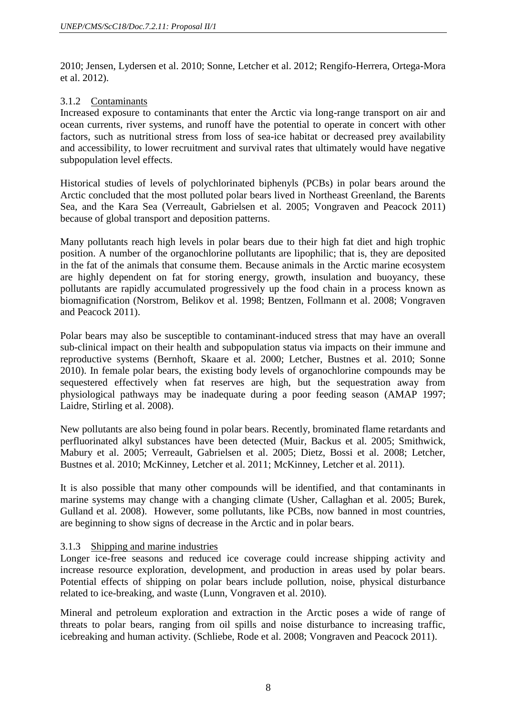2010; Jensen, Lydersen et al. 2010; Sonne, Letcher et al. 2012; Rengifo-Herrera, Ortega-Mora et al. 2012).

## 3.1.2 Contaminants

Increased exposure to contaminants that enter the Arctic via long-range transport on air and ocean currents, river systems, and runoff have the potential to operate in concert with other factors, such as nutritional stress from loss of sea-ice habitat or decreased prey availability and accessibility, to lower recruitment and survival rates that ultimately would have negative subpopulation level effects.

Historical studies of levels of polychlorinated biphenyls (PCBs) in polar bears around the Arctic concluded that the most polluted polar bears lived in Northeast Greenland, the Barents Sea, and the Kara Sea (Verreault, Gabrielsen et al. 2005; Vongraven and Peacock 2011) because of global transport and deposition patterns.

Many pollutants reach high levels in polar bears due to their high fat diet and high trophic position. A number of the organochlorine pollutants are lipophilic; that is, they are deposited in the fat of the animals that consume them. Because animals in the Arctic marine ecosystem are highly dependent on fat for storing energy, growth, insulation and buoyancy, these pollutants are rapidly accumulated progressively up the food chain in a process known as biomagnification (Norstrom, Belikov et al. 1998; Bentzen, Follmann et al. 2008; Vongraven and Peacock 2011).

Polar bears may also be susceptible to contaminant-induced stress that may have an overall sub-clinical impact on their health and subpopulation status via impacts on their immune and reproductive systems (Bernhoft, Skaare et al. 2000; Letcher, Bustnes et al. 2010; Sonne 2010). In female polar bears, the existing body levels of organochlorine compounds may be sequestered effectively when fat reserves are high, but the sequestration away from physiological pathways may be inadequate during a poor feeding season (AMAP 1997; Laidre, Stirling et al. 2008).

New pollutants are also being found in polar bears. Recently, brominated flame retardants and perfluorinated alkyl substances have been detected (Muir, Backus et al. 2005; Smithwick, Mabury et al. 2005; Verreault, Gabrielsen et al. 2005; Dietz, Bossi et al. 2008; Letcher, Bustnes et al. 2010; McKinney, Letcher et al. 2011; McKinney, Letcher et al. 2011).

It is also possible that many other compounds will be identified, and that contaminants in marine systems may change with a changing climate (Usher, Callaghan et al. 2005; Burek, Gulland et al. 2008). However, some pollutants, like PCBs, now banned in most countries, are beginning to show signs of decrease in the Arctic and in polar bears.

# 3.1.3 Shipping and marine industries

Longer ice-free seasons and reduced ice coverage could increase shipping activity and increase resource exploration, development, and production in areas used by polar bears. Potential effects of shipping on polar bears include pollution, noise, physical disturbance related to ice-breaking, and waste (Lunn, Vongraven et al. 2010).

Mineral and petroleum exploration and extraction in the Arctic poses a wide of range of threats to polar bears, ranging from oil spills and noise disturbance to increasing traffic, icebreaking and human activity. (Schliebe, Rode et al. 2008; Vongraven and Peacock 2011).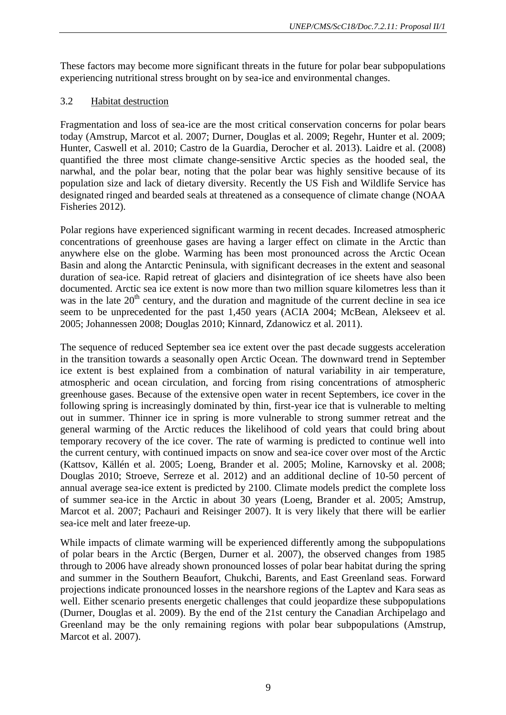These factors may become more significant threats in the future for polar bear subpopulations experiencing nutritional stress brought on by sea-ice and environmental changes.

## 3.2 Habitat destruction

Fragmentation and loss of sea-ice are the most critical conservation concerns for polar bears today (Amstrup, Marcot et al. 2007; Durner, Douglas et al. 2009; Regehr, Hunter et al. 2009; Hunter, Caswell et al. 2010; Castro de la Guardia, Derocher et al. 2013). Laidre et al. (2008) quantified the three most climate change-sensitive Arctic species as the hooded seal, the narwhal, and the polar bear, noting that the polar bear was highly sensitive because of its population size and lack of dietary diversity. Recently the US Fish and Wildlife Service has designated ringed and bearded seals at threatened as a consequence of climate change (NOAA Fisheries 2012).

Polar regions have experienced significant warming in recent decades. Increased atmospheric concentrations of greenhouse gases are having a larger effect on climate in the Arctic than anywhere else on the globe. Warming has been most pronounced across the Arctic Ocean Basin and along the Antarctic Peninsula, with significant decreases in the extent and seasonal duration of sea-ice. Rapid retreat of glaciers and disintegration of ice sheets have also been documented. Arctic sea ice extent is now more than two million square kilometres less than it was in the late  $20<sup>th</sup>$  century, and the duration and magnitude of the current decline in sea ice seem to be unprecedented for the past 1,450 years (ACIA 2004; McBean, Alekseev et al. 2005; Johannessen 2008; Douglas 2010; Kinnard, Zdanowicz et al. 2011).

The sequence of reduced September sea ice extent over the past decade suggests acceleration in the transition towards a seasonally open Arctic Ocean. The downward trend in September ice extent is best explained from a combination of natural variability in air temperature, atmospheric and ocean circulation, and forcing from rising concentrations of atmospheric greenhouse gases. Because of the extensive open water in recent Septembers, ice cover in the following spring is increasingly dominated by thin, first-year ice that is vulnerable to melting out in summer. Thinner ice in spring is more vulnerable to strong summer retreat and the general warming of the Arctic reduces the likelihood of cold years that could bring about temporary recovery of the ice cover. The rate of warming is predicted to continue well into the current century, with continued impacts on snow and sea-ice cover over most of the Arctic (Kattsov, Källén et al. 2005; Loeng, Brander et al. 2005; Moline, Karnovsky et al. 2008; Douglas 2010; Stroeve, Serreze et al. 2012) and an additional decline of 10-50 percent of annual average sea-ice extent is predicted by 2100. Climate models predict the complete loss of summer sea-ice in the Arctic in about 30 years (Loeng, Brander et al. 2005; Amstrup, Marcot et al. 2007; Pachauri and Reisinger 2007). It is very likely that there will be earlier sea-ice melt and later freeze-up.

While impacts of climate warming will be experienced differently among the subpopulations of polar bears in the Arctic (Bergen, Durner et al. 2007), the observed changes from 1985 through to 2006 have already shown pronounced losses of polar bear habitat during the spring and summer in the Southern Beaufort, Chukchi, Barents, and East Greenland seas. Forward projections indicate pronounced losses in the nearshore regions of the Laptev and Kara seas as well. Either scenario presents energetic challenges that could jeopardize these subpopulations (Durner, Douglas et al. 2009). By the end of the 21st century the Canadian Archipelago and Greenland may be the only remaining regions with polar bear subpopulations (Amstrup, Marcot et al. 2007).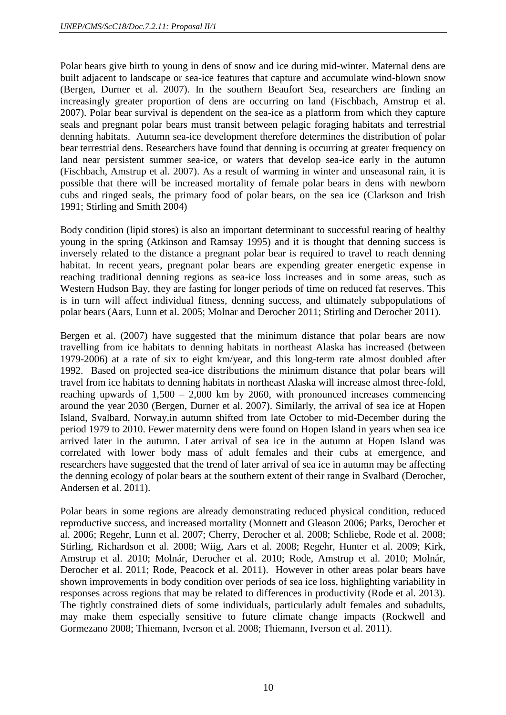Polar bears give birth to young in dens of snow and ice during mid-winter. Maternal dens are built adjacent to landscape or sea-ice features that capture and accumulate wind-blown snow (Bergen, Durner et al. 2007). In the southern Beaufort Sea, researchers are finding an increasingly greater proportion of dens are occurring on land (Fischbach, Amstrup et al. 2007). Polar bear survival is dependent on the sea-ice as a platform from which they capture seals and pregnant polar bears must transit between pelagic foraging habitats and terrestrial denning habitats. Autumn sea-ice development therefore determines the distribution of polar bear terrestrial dens. Researchers have found that denning is occurring at greater frequency on land near persistent summer sea-ice, or waters that develop sea-ice early in the autumn (Fischbach, Amstrup et al. 2007). As a result of warming in winter and unseasonal rain, it is possible that there will be increased mortality of female polar bears in dens with newborn cubs and ringed seals, the primary food of polar bears, on the sea ice (Clarkson and Irish 1991; Stirling and Smith 2004)

Body condition (lipid stores) is also an important determinant to successful rearing of healthy young in the spring (Atkinson and Ramsay 1995) and it is thought that denning success is inversely related to the distance a pregnant polar bear is required to travel to reach denning habitat. In recent years, pregnant polar bears are expending greater energetic expense in reaching traditional denning regions as sea-ice loss increases and in some areas, such as Western Hudson Bay, they are fasting for longer periods of time on reduced fat reserves. This is in turn will affect individual fitness, denning success, and ultimately subpopulations of polar bears (Aars, Lunn et al. 2005; Molnar and Derocher 2011; Stirling and Derocher 2011).

Bergen et al. (2007) have suggested that the minimum distance that polar bears are now travelling from ice habitats to denning habitats in northeast Alaska has increased (between 1979-2006) at a rate of six to eight km/year, and this long-term rate almost doubled after 1992. Based on projected sea-ice distributions the minimum distance that polar bears will travel from ice habitats to denning habitats in northeast Alaska will increase almost three-fold, reaching upwards of 1,500 – 2,000 km by 2060, with pronounced increases commencing around the year 2030 (Bergen, Durner et al. 2007). Similarly, the arrival of sea ice at Hopen Island, Svalbard, Norway,in autumn shifted from late October to mid-December during the period 1979 to 2010. Fewer maternity dens were found on Hopen Island in years when sea ice arrived later in the autumn. Later arrival of sea ice in the autumn at Hopen Island was correlated with lower body mass of adult females and their cubs at emergence, and researchers have suggested that the trend of later arrival of sea ice in autumn may be affecting the denning ecology of polar bears at the southern extent of their range in Svalbard (Derocher, Andersen et al. 2011).

Polar bears in some regions are already demonstrating reduced physical condition, reduced reproductive success, and increased mortality (Monnett and Gleason 2006; Parks, Derocher et al. 2006; Regehr, Lunn et al. 2007; Cherry, Derocher et al. 2008; Schliebe, Rode et al. 2008; Stirling, Richardson et al. 2008; Wiig, Aars et al. 2008; Regehr, Hunter et al. 2009; Kirk, Amstrup et al. 2010; Molnár, Derocher et al. 2010; Rode, Amstrup et al. 2010; Molnár, Derocher et al. 2011; Rode, Peacock et al. 2011). However in other areas polar bears have shown improvements in body condition over periods of sea ice loss, highlighting variability in responses across regions that may be related to differences in productivity (Rode et al. 2013). The tightly constrained diets of some individuals, particularly adult females and subadults, may make them especially sensitive to future climate change impacts (Rockwell and Gormezano 2008; Thiemann, Iverson et al. 2008; Thiemann, Iverson et al. 2011).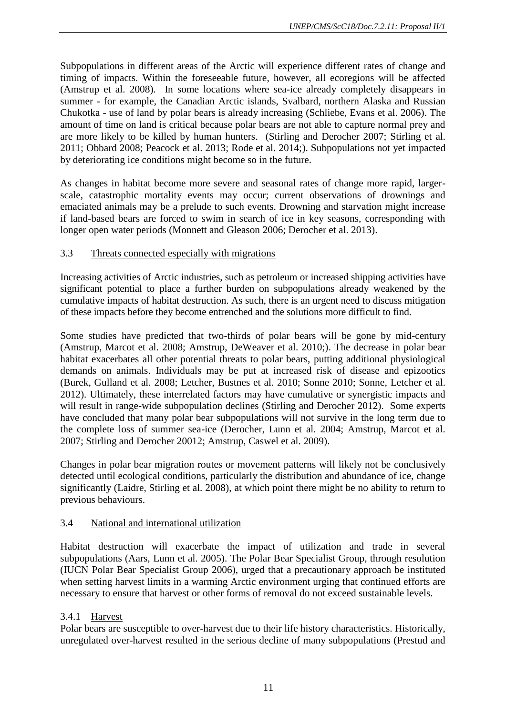Subpopulations in different areas of the Arctic will experience different rates of change and timing of impacts. Within the foreseeable future, however, all ecoregions will be affected (Amstrup et al. 2008). In some locations where sea-ice already completely disappears in summer - for example, the Canadian Arctic islands, Svalbard, northern Alaska and Russian Chukotka - use of land by polar bears is already increasing (Schliebe, Evans et al. 2006). The amount of time on land is critical because polar bears are not able to capture normal prey and are more likely to be killed by human hunters. (Stirling and Derocher 2007; Stirling et al. 2011; Obbard 2008; Peacock et al. 2013; Rode et al. 2014;). Subpopulations not yet impacted by deteriorating ice conditions might become so in the future.

As changes in habitat become more severe and seasonal rates of change more rapid, largerscale, catastrophic mortality events may occur; current observations of drownings and emaciated animals may be a prelude to such events. Drowning and starvation might increase if land-based bears are forced to swim in search of ice in key seasons, corresponding with longer open water periods (Monnett and Gleason 2006; Derocher et al. 2013).

# 3.3 Threats connected especially with migrations

Increasing activities of Arctic industries, such as petroleum or increased shipping activities have significant potential to place a further burden on subpopulations already weakened by the cumulative impacts of habitat destruction. As such, there is an urgent need to discuss mitigation of these impacts before they become entrenched and the solutions more difficult to find.

Some studies have predicted that two-thirds of polar bears will be gone by mid-century (Amstrup, Marcot et al. 2008; Amstrup, DeWeaver et al. 2010;). The decrease in polar bear habitat exacerbates all other potential threats to polar bears, putting additional physiological demands on animals. Individuals may be put at increased risk of disease and epizootics (Burek, Gulland et al. 2008; Letcher, Bustnes et al. 2010; Sonne 2010; Sonne, Letcher et al. 2012). Ultimately, these interrelated factors may have cumulative or synergistic impacts and will result in range-wide subpopulation declines (Stirling and Derocher 2012). Some experts have concluded that many polar bear subpopulations will not survive in the long term due to the complete loss of summer sea-ice (Derocher, Lunn et al. 2004; Amstrup, Marcot et al. 2007; Stirling and Derocher 20012; Amstrup, Caswel et al. 2009).

Changes in polar bear migration routes or movement patterns will likely not be conclusively detected until ecological conditions, particularly the distribution and abundance of ice, change significantly (Laidre, Stirling et al. 2008), at which point there might be no ability to return to previous behaviours.

# 3.4 National and international utilization

Habitat destruction will exacerbate the impact of utilization and trade in several subpopulations (Aars, Lunn et al. 2005). The Polar Bear Specialist Group, through resolution (IUCN Polar Bear Specialist Group 2006), urged that a precautionary approach be instituted when setting harvest limits in a warming Arctic environment urging that continued efforts are necessary to ensure that harvest or other forms of removal do not exceed sustainable levels.

# 3.4.1 Harvest

Polar bears are susceptible to over-harvest due to their life history characteristics. Historically, unregulated over-harvest resulted in the serious decline of many subpopulations (Prestud and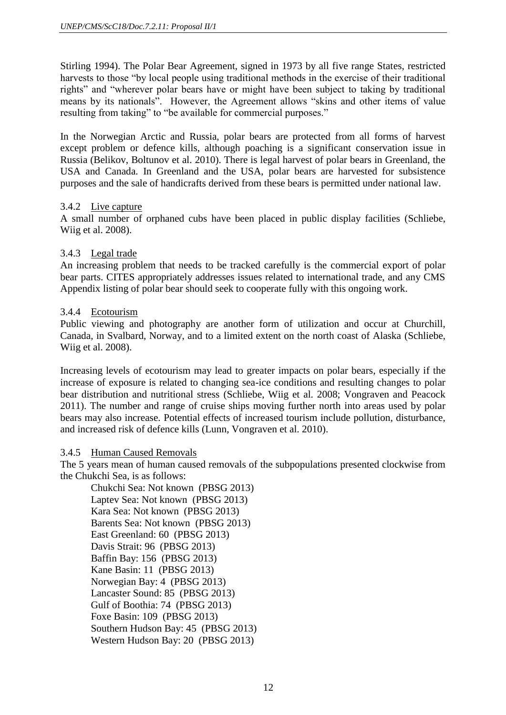Stirling 1994). The Polar Bear Agreement, signed in 1973 by all five range States, restricted harvests to those "by local people using traditional methods in the exercise of their traditional rights" and "wherever polar bears have or might have been subject to taking by traditional means by its nationals". However, the Agreement allows "skins and other items of value resulting from taking" to "be available for commercial purposes."

In the Norwegian Arctic and Russia, polar bears are protected from all forms of harvest except problem or defence kills, although poaching is a significant conservation issue in Russia (Belikov, Boltunov et al. 2010). There is legal harvest of polar bears in Greenland, the USA and Canada. In Greenland and the USA, polar bears are harvested for subsistence purposes and the sale of handicrafts derived from these bears is permitted under national law.

## 3.4.2 Live capture

A small number of orphaned cubs have been placed in public display facilities (Schliebe, Wiig et al. 2008).

## 3.4.3 Legal trade

An increasing problem that needs to be tracked carefully is the commercial export of polar bear parts. CITES appropriately addresses issues related to international trade, and any CMS Appendix listing of polar bear should seek to cooperate fully with this ongoing work.

## 3.4.4 Ecotourism

Public viewing and photography are another form of utilization and occur at Churchill, Canada, in Svalbard, Norway, and to a limited extent on the north coast of Alaska (Schliebe, Wiig et al. 2008).

Increasing levels of ecotourism may lead to greater impacts on polar bears, especially if the increase of exposure is related to changing sea-ice conditions and resulting changes to polar bear distribution and nutritional stress (Schliebe, Wiig et al. 2008; Vongraven and Peacock 2011). The number and range of cruise ships moving further north into areas used by polar bears may also increase. Potential effects of increased tourism include pollution, disturbance, and increased risk of defence kills (Lunn, Vongraven et al. 2010).

#### 3.4.5 Human Caused Removals

The 5 years mean of human caused removals of the subpopulations presented clockwise from the Chukchi Sea, is as follows:

Chukchi Sea: Not known (PBSG 2013) Laptev Sea: Not known (PBSG 2013) Kara Sea: Not known (PBSG 2013) Barents Sea: Not known (PBSG 2013) East Greenland: 60 (PBSG 2013) Davis Strait: 96 (PBSG 2013) Baffin Bay: 156 (PBSG 2013) Kane Basin: 11 (PBSG 2013) Norwegian Bay: 4 (PBSG 2013) Lancaster Sound: 85 (PBSG 2013) Gulf of Boothia: 74 (PBSG 2013) Foxe Basin: 109 (PBSG 2013) Southern Hudson Bay: 45 (PBSG 2013) Western Hudson Bay: 20 (PBSG 2013)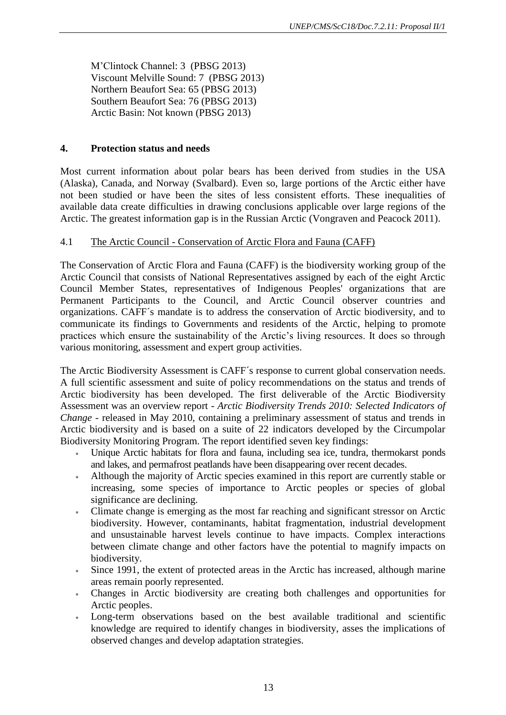M'Clintock Channel: 3 (PBSG 2013) Viscount Melville Sound: 7 (PBSG 2013) Northern Beaufort Sea: 65 (PBSG 2013) Southern Beaufort Sea: 76 (PBSG 2013) Arctic Basin: Not known (PBSG 2013)

# **4. Protection status and needs**

Most current information about polar bears has been derived from studies in the USA (Alaska), Canada, and Norway (Svalbard). Even so, large portions of the Arctic either have not been studied or have been the sites of less consistent efforts. These inequalities of available data create difficulties in drawing conclusions applicable over large regions of the Arctic. The greatest information gap is in the Russian Arctic (Vongraven and Peacock 2011).

# 4.1 The Arctic Council - Conservation of Arctic Flora and Fauna (CAFF)

The Conservation of Arctic Flora and Fauna (CAFF) is the biodiversity working group of the Arctic Council that consists of National Representatives assigned by each of the eight Arctic Council Member States, representatives of Indigenous Peoples' organizations that are Permanent Participants to the Council, and Arctic Council observer countries and organizations. CAFF´s mandate is to address the conservation of Arctic biodiversity, and to communicate its findings to Governments and residents of the Arctic, helping to promote practices which ensure the sustainability of the Arctic's living resources. It does so through various monitoring, assessment and expert group activities.

The Arctic Biodiversity Assessment is CAFF´s response to current global conservation needs. A full scientific assessment and suite of policy recommendations on the status and trends of Arctic biodiversity has been developed. The first deliverable of the Arctic Biodiversity Assessment was an overview report - *Arctic Biodiversity Trends 2010: Selected Indicators of Change* - released in May 2010, containing a preliminary assessment of status and trends in Arctic biodiversity and is based on a suite of 22 indicators developed by the Circumpolar Biodiversity Monitoring Program. The report identified seven key findings:

- Unique Arctic habitats for flora and fauna, including sea ice, tundra, thermokarst ponds and lakes, and permafrost peatlands have been disappearing over recent decades.
- Although the majority of Arctic species examined in this report are currently stable or increasing, some species of importance to Arctic peoples or species of global significance are declining.
- Climate change is emerging as the most far reaching and significant stressor on Arctic biodiversity. However, contaminants, habitat fragmentation, industrial development and unsustainable harvest levels continue to have impacts. Complex interactions between climate change and other factors have the potential to magnify impacts on biodiversity.
- Since 1991, the extent of protected areas in the Arctic has increased, although marine areas remain poorly represented.
- Changes in Arctic biodiversity are creating both challenges and opportunities for Arctic peoples.
- Long-term observations based on the best available traditional and scientific knowledge are required to identify changes in biodiversity, asses the implications of observed changes and develop adaptation strategies.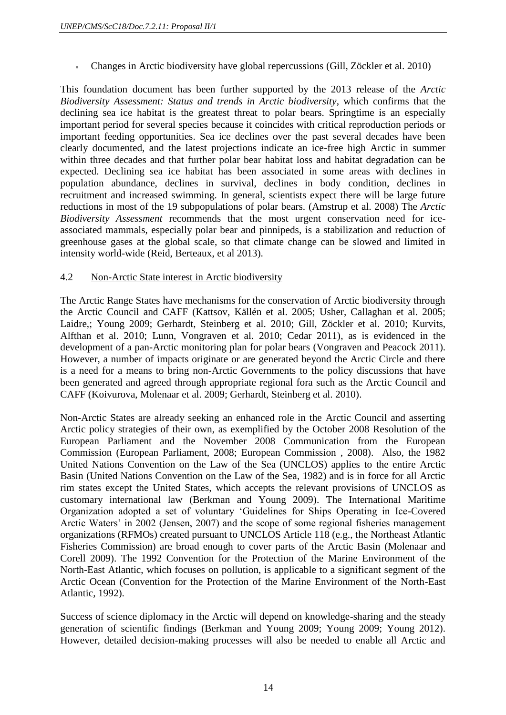Changes in Arctic biodiversity have global repercussions (Gill, Zöckler et al. 2010)

This foundation document has been further supported by the 2013 release of the *Arctic Biodiversity Assessment: Status and trends in Arctic biodiversity*, which confirms that the declining sea ice habitat is the greatest threat to polar bears. Springtime is an especially important period for several species because it coincides with critical reproduction periods or important feeding opportunities. Sea ice declines over the past several decades have been clearly documented, and the latest projections indicate an ice-free high Arctic in summer within three decades and that further polar bear habitat loss and habitat degradation can be expected. Declining sea ice habitat has been associated in some areas with declines in population abundance, declines in survival, declines in body condition, declines in recruitment and increased swimming. In general, scientists expect there will be large future reductions in most of the 19 subpopulations of polar bears. (Amstrup et al. 2008) The *Arctic Biodiversity Assessment* recommends that the most urgent conservation need for iceassociated mammals, especially polar bear and pinnipeds, is a stabilization and reduction of greenhouse gases at the global scale, so that climate change can be slowed and limited in intensity world-wide (Reid, Berteaux, et al 2013).

## 4.2 Non-Arctic State interest in Arctic biodiversity

The Arctic Range States have mechanisms for the conservation of Arctic biodiversity through the Arctic Council and CAFF (Kattsov, Källén et al. 2005; Usher, Callaghan et al. 2005; Laidre,; Young 2009; Gerhardt, Steinberg et al. 2010; Gill, Zöckler et al. 2010; Kurvits, Alfthan et al. 2010; Lunn, Vongraven et al. 2010; Cedar 2011), as is evidenced in the development of a pan-Arctic monitoring plan for polar bears (Vongraven and Peacock 2011). However, a number of impacts originate or are generated beyond the Arctic Circle and there is a need for a means to bring non-Arctic Governments to the policy discussions that have been generated and agreed through appropriate regional fora such as the Arctic Council and CAFF (Koivurova, Molenaar et al. 2009; Gerhardt, Steinberg et al. 2010).

Non-Arctic States are already seeking an enhanced role in the Arctic Council and asserting Arctic policy strategies of their own, as exemplified by the October 2008 Resolution of the European Parliament and the November 2008 Communication from the European Commission (European Parliament, 2008; European Commission , 2008). Also, the 1982 United Nations Convention on the Law of the Sea (UNCLOS) applies to the entire Arctic Basin (United Nations Convention on the Law of the Sea, 1982) and is in force for all Arctic rim states except the United States, which accepts the relevant provisions of UNCLOS as customary international law (Berkman and Young 2009). The International Maritime Organization adopted a set of voluntary 'Guidelines for Ships Operating in Ice-Covered Arctic Waters' in 2002 (Jensen, 2007) and the scope of some regional fisheries management organizations (RFMOs) created pursuant to UNCLOS Article 118 (e.g., the Northeast Atlantic Fisheries Commission) are broad enough to cover parts of the Arctic Basin (Molenaar and Corell 2009). The 1992 Convention for the Protection of the Marine Environment of the North-East Atlantic, which focuses on pollution, is applicable to a significant segment of the Arctic Ocean (Convention for the Protection of the Marine Environment of the North-East Atlantic, 1992).

Success of science diplomacy in the Arctic will depend on knowledge-sharing and the steady generation of scientific findings (Berkman and Young 2009; Young 2009; Young 2012). However, detailed decision-making processes will also be needed to enable all Arctic and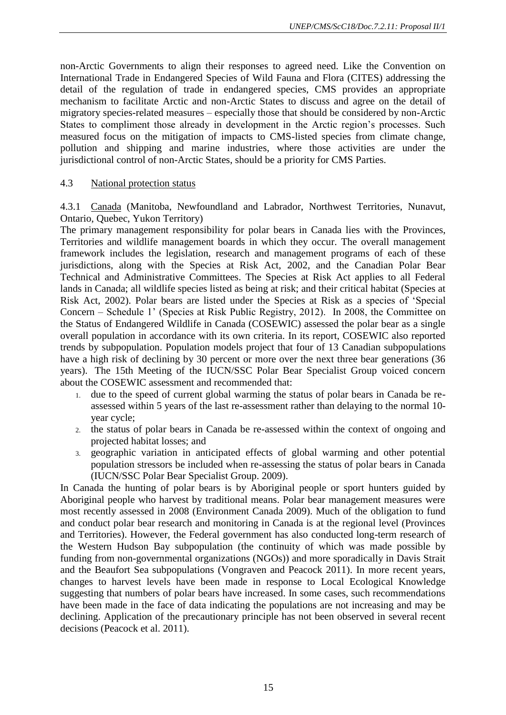non-Arctic Governments to align their responses to agreed need. Like the Convention on International Trade in Endangered Species of Wild Fauna and Flora (CITES) addressing the detail of the regulation of trade in endangered species, CMS provides an appropriate mechanism to facilitate Arctic and non-Arctic States to discuss and agree on the detail of migratory species-related measures – especially those that should be considered by non-Arctic States to compliment those already in development in the Arctic region's processes. Such measured focus on the mitigation of impacts to CMS-listed species from climate change, pollution and shipping and marine industries, where those activities are under the jurisdictional control of non-Arctic States, should be a priority for CMS Parties.

#### 4.3 National protection status

4.3.1 Canada (Manitoba, Newfoundland and Labrador, Northwest Territories, Nunavut, Ontario, Quebec, Yukon Territory)

The primary management responsibility for polar bears in Canada lies with the Provinces, Territories and wildlife management boards in which they occur. The overall management framework includes the legislation, research and management programs of each of these jurisdictions, along with the Species at Risk Act, 2002, and the Canadian Polar Bear Technical and Administrative Committees. The Species at Risk Act applies to all Federal lands in Canada; all wildlife species listed as being at risk; and their critical habitat (Species at Risk Act, 2002). Polar bears are listed under the Species at Risk as a species of 'Special Concern – Schedule 1' (Species at Risk Public Registry, 2012). In 2008, the Committee on the Status of Endangered Wildlife in Canada (COSEWIC) assessed the polar bear as a single overall population in accordance with its own criteria. In its report, COSEWIC also reported trends by subpopulation. Population models project that four of 13 Canadian subpopulations have a high risk of declining by 30 percent or more over the next three bear generations (36) years). The 15th Meeting of the IUCN/SSC Polar Bear Specialist Group voiced concern about the COSEWIC assessment and recommended that:

- 1. due to the speed of current global warming the status of polar bears in Canada be reassessed within 5 years of the last re-assessment rather than delaying to the normal 10 year cycle;
- 2. the status of polar bears in Canada be re-assessed within the context of ongoing and projected habitat losses; and
- 3. geographic variation in anticipated effects of global warming and other potential population stressors be included when re-assessing the status of polar bears in Canada (IUCN/SSC Polar Bear Specialist Group. 2009).

In Canada the hunting of polar bears is by Aboriginal people or sport hunters guided by Aboriginal people who harvest by traditional means. Polar bear management measures were most recently assessed in 2008 (Environment Canada 2009). Much of the obligation to fund and conduct polar bear research and monitoring in Canada is at the regional level (Provinces and Territories). However, the Federal government has also conducted long-term research of the Western Hudson Bay subpopulation (the continuity of which was made possible by funding from non-governmental organizations (NGOs)) and more sporadically in Davis Strait and the Beaufort Sea subpopulations (Vongraven and Peacock 2011). In more recent years, changes to harvest levels have been made in response to Local Ecological Knowledge suggesting that numbers of polar bears have increased. In some cases, such recommendations have been made in the face of data indicating the populations are not increasing and may be declining. Application of the precautionary principle has not been observed in several recent decisions (Peacock et al. 2011).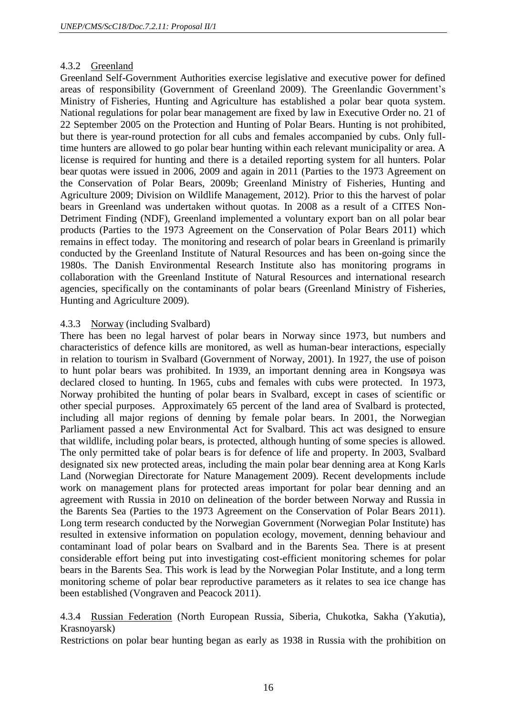## 4.3.2 Greenland

Greenland Self-Government Authorities exercise legislative and executive power for defined areas of responsibility (Government of Greenland 2009). The Greenlandic Government's Ministry of Fisheries, Hunting and Agriculture has established a polar bear quota system. National regulations for polar bear management are fixed by law in Executive Order no. 21 of 22 September 2005 on the Protection and Hunting of Polar Bears. Hunting is not prohibited, but there is year-round protection for all cubs and females accompanied by cubs. Only fulltime hunters are allowed to go polar bear hunting within each relevant municipality or area. A license is required for hunting and there is a detailed reporting system for all hunters. Polar bear quotas were issued in 2006, 2009 and again in 2011 (Parties to the 1973 Agreement on the Conservation of Polar Bears, 2009b; Greenland Ministry of Fisheries, Hunting and Agriculture 2009; Division on Wildlife Management, 2012). Prior to this the harvest of polar bears in Greenland was undertaken without quotas. In 2008 as a result of a CITES Non-Detriment Finding (NDF), Greenland implemented a voluntary export ban on all polar bear products (Parties to the 1973 Agreement on the Conservation of Polar Bears 2011) which remains in effect today. The monitoring and research of polar bears in Greenland is primarily conducted by the Greenland Institute of Natural Resources and has been on-going since the 1980s. The Danish Environmental Research Institute also has monitoring programs in collaboration with the Greenland Institute of Natural Resources and international research agencies, specifically on the contaminants of polar bears (Greenland Ministry of Fisheries, Hunting and Agriculture 2009).

#### 4.3.3 Norway (including Svalbard)

There has been no legal harvest of polar bears in Norway since 1973, but numbers and characteristics of defence kills are monitored, as well as human-bear interactions, especially in relation to tourism in Svalbard (Government of Norway, 2001). In 1927, the use of poison to hunt polar bears was prohibited. In 1939, an important denning area in Kongsøya was declared closed to hunting. In 1965, cubs and females with cubs were protected. In 1973, Norway prohibited the hunting of polar bears in Svalbard, except in cases of scientific or other special purposes. Approximately 65 percent of the land area of Svalbard is protected, including all major regions of denning by female polar bears. In 2001, the Norwegian Parliament passed a new Environmental Act for Svalbard. This act was designed to ensure that wildlife, including polar bears, is protected, although hunting of some species is allowed. The only permitted take of polar bears is for defence of life and property. In 2003, Svalbard designated six new protected areas, including the main polar bear denning area at Kong Karls Land (Norwegian Directorate for Nature Management 2009). Recent developments include work on management plans for protected areas important for polar bear denning and an agreement with Russia in 2010 on delineation of the border between Norway and Russia in the Barents Sea (Parties to the 1973 Agreement on the Conservation of Polar Bears 2011). Long term research conducted by the Norwegian Government (Norwegian Polar Institute) has resulted in extensive information on population ecology, movement, denning behaviour and contaminant load of polar bears on Svalbard and in the Barents Sea. There is at present considerable effort being put into investigating cost-efficient monitoring schemes for polar bears in the Barents Sea. This work is lead by the Norwegian Polar Institute, and a long term monitoring scheme of polar bear reproductive parameters as it relates to sea ice change has been established (Vongraven and Peacock 2011).

4.3.4 Russian Federation (North European Russia, Siberia, Chukotka, Sakha (Yakutia), Krasnoyarsk)

Restrictions on polar bear hunting began as early as 1938 in Russia with the prohibition on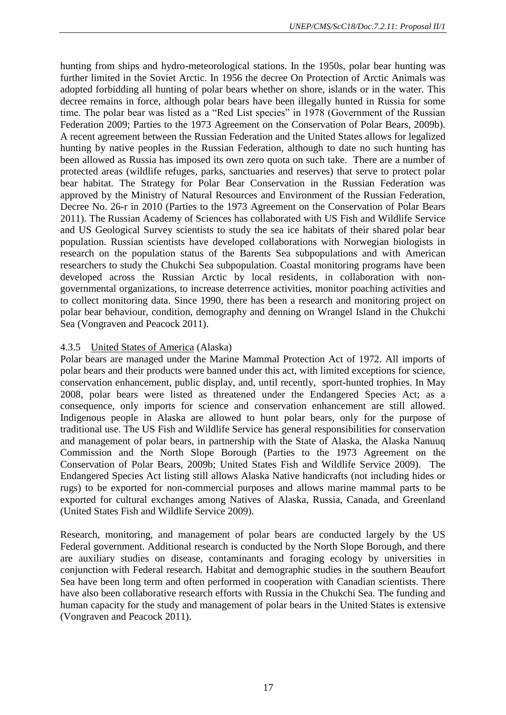hunting from ships and hydro-meteorological stations. In the 1950s, polar bear hunting was further limited in the Soviet Arctic. In 1956 the decree On Protection of Arctic Animals was adopted forbidding all hunting of polar bears whether on shore, islands or in the water. This decree remains in force, although polar bears have been illegally hunted in Russia for some time. The polar bear was listed as a "Red List species" in 1978 (Government of the Russian Federation 2009; Parties to the 1973 Agreement on the Conservation of Polar Bears, 2009b). A recent agreement between the Russian Federation and the United States allows for legalized hunting by native peoples in the Russian Federation, although to date no such hunting has been allowed as Russia has imposed its own zero quota on such take. There are a number of protected areas (wildlife refuges, parks, sanctuaries and reserves) that serve to protect polar bear habitat. The Strategy for Polar Bear Conservation in the Russian Federation was approved by the Ministry of Natural Resources and Environment of the Russian Federation, Decree No. 26-r in 2010 (Parties to the 1973 Agreement on the Conservation of Polar Bears 2011). The Russian Academy of Sciences has collaborated with US Fish and Wildlife Service and US Geological Survey scientists to study the sea ice habitats of their shared polar bear population. Russian scientists have developed collaborations with Norwegian biologists in research on the population status of the Barents Sea subpopulations and with American researchers to study the Chukchi Sea subpopulation. Coastal monitoring programs have been developed across the Russian Arctic by local residents, in collaboration with nongovernmental organizations, to increase deterrence activities, monitor poaching activities and to collect monitoring data. Since 1990, there has been a research and monitoring project on polar bear behaviour, condition, demography and denning on Wrangel Island in the Chukchi Sea (Vongraven and Peacock 2011).

## 4.3.5 United States of America (Alaska)

Polar bears are managed under the Marine Mammal Protection Act of 1972. All imports of polar bears and their products were banned under this act, with limited exceptions for science, conservation enhancement, public display, and, until recently, sport-hunted trophies. In May 2008, polar bears were listed as threatened under the Endangered Species Act; as a consequence, only imports for science and conservation enhancement are still allowed. Indigenous people in Alaska are allowed to hunt polar bears, only for the purpose of traditional use. The US Fish and Wildlife Service has general responsibilities for conservation and management of polar bears, in partnership with the State of Alaska, the Alaska Nanuuq Commission and the North Slope Borough (Parties to the 1973 Agreement on the Conservation of Polar Bears, 2009b; United States Fish and Wildlife Service 2009). The Endangered Species Act listing still allows Alaska Native handicrafts (not including hides or rugs) to be exported for non-commercial purposes and allows marine mammal parts to be exported for cultural exchanges among Natives of Alaska, Russia, Canada, and Greenland (United States Fish and Wildlife Service 2009).

Research, monitoring, and management of polar bears are conducted largely by the US Federal government. Additional research is conducted by the North Slope Borough, and there are auxiliary studies on disease, contaminants and foraging ecology by universities in conjunction with Federal research. Habitat and demographic studies in the southern Beaufort Sea have been long term and often performed in cooperation with Canadian scientists. There have also been collaborative research efforts with Russia in the Chukchi Sea. The funding and human capacity for the study and management of polar bears in the United States is extensive (Vongraven and Peacock 2011).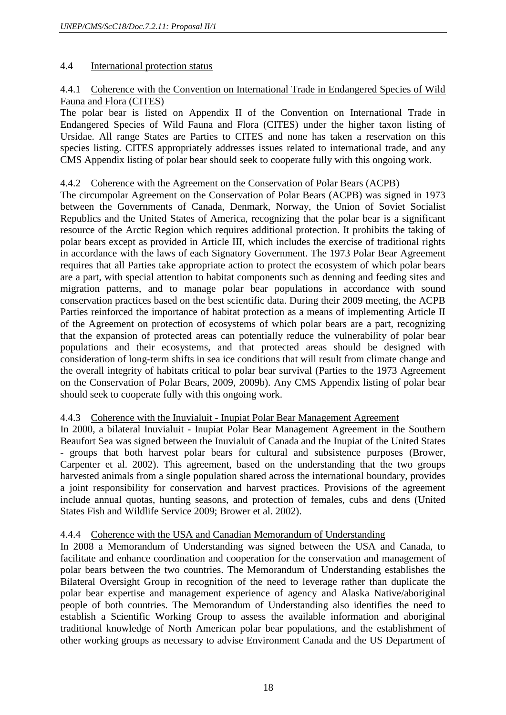# 4.4 International protection status

# 4.4.1 Coherence with the Convention on International Trade in Endangered Species of Wild Fauna and Flora (CITES)

The polar bear is listed on Appendix II of the Convention on International Trade in Endangered Species of Wild Fauna and Flora (CITES) under the higher taxon listing of Ursidae. All range States are Parties to CITES and none has taken a reservation on this species listing. CITES appropriately addresses issues related to international trade, and any CMS Appendix listing of polar bear should seek to cooperate fully with this ongoing work.

## 4.4.2 Coherence with the Agreement on the Conservation of Polar Bears (ACPB)

The circumpolar Agreement on the Conservation of Polar Bears (ACPB) was signed in 1973 between the Governments of Canada, Denmark, Norway, the Union of Soviet Socialist Republics and the United States of America, recognizing that the polar bear is a significant resource of the Arctic Region which requires additional protection. It prohibits the taking of polar bears except as provided in Article III, which includes the exercise of traditional rights in accordance with the laws of each Signatory Government. The 1973 Polar Bear Agreement requires that all Parties take appropriate action to protect the ecosystem of which polar bears are a part, with special attention to habitat components such as denning and feeding sites and migration patterns, and to manage polar bear populations in accordance with sound conservation practices based on the best scientific data. During their 2009 meeting, the ACPB Parties reinforced the importance of habitat protection as a means of implementing Article II of the Agreement on protection of ecosystems of which polar bears are a part, recognizing that the expansion of protected areas can potentially reduce the vulnerability of polar bear populations and their ecosystems, and that protected areas should be designed with consideration of long-term shifts in sea ice conditions that will result from climate change and the overall integrity of habitats critical to polar bear survival (Parties to the 1973 Agreement on the Conservation of Polar Bears, 2009, 2009b). Any CMS Appendix listing of polar bear should seek to cooperate fully with this ongoing work.

# 4.4.3 Coherence with the Inuvialuit - Inupiat Polar Bear Management Agreement

In 2000, a bilateral Inuvialuit - Inupiat Polar Bear Management Agreement in the Southern Beaufort Sea was signed between the Inuvialuit of Canada and the Inupiat of the United States - groups that both harvest polar bears for cultural and subsistence purposes (Brower, Carpenter et al. 2002). This agreement, based on the understanding that the two groups harvested animals from a single population shared across the international boundary, provides a joint responsibility for conservation and harvest practices. Provisions of the agreement include annual quotas, hunting seasons, and protection of females, cubs and dens (United States Fish and Wildlife Service 2009; Brower et al. 2002).

# 4.4.4 Coherence with the USA and Canadian Memorandum of Understanding

In 2008 a Memorandum of Understanding was signed between the USA and Canada, to facilitate and enhance coordination and cooperation for the conservation and management of polar bears between the two countries. The Memorandum of Understanding establishes the Bilateral Oversight Group in recognition of the need to leverage rather than duplicate the polar bear expertise and management experience of agency and Alaska Native/aboriginal people of both countries. The Memorandum of Understanding also identifies the need to establish a Scientific Working Group to assess the available information and aboriginal traditional knowledge of North American polar bear populations, and the establishment of other working groups as necessary to advise Environment Canada and the US Department of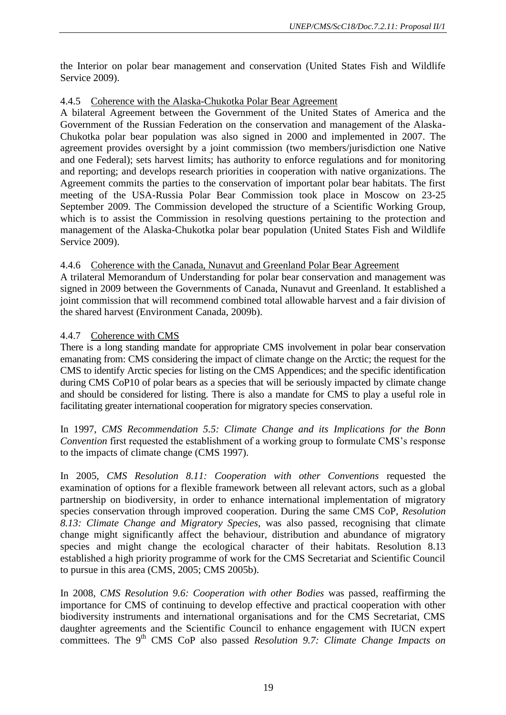the Interior on polar bear management and conservation (United States Fish and Wildlife Service 2009).

# 4.4.5 Coherence with the Alaska-Chukotka Polar Bear Agreement

A bilateral Agreement between the Government of the United States of America and the Government of the Russian Federation on the conservation and management of the Alaska-Chukotka polar bear population was also signed in 2000 and implemented in 2007. The agreement provides oversight by a joint commission (two members/jurisdiction one Native and one Federal); sets harvest limits; has authority to enforce regulations and for monitoring and reporting; and develops research priorities in cooperation with native organizations. The Agreement commits the parties to the conservation of important polar bear habitats. The first meeting of the USA-Russia Polar Bear Commission took place in Moscow on 23-25 September 2009. The Commission developed the structure of a Scientific Working Group, which is to assist the Commission in resolving questions pertaining to the protection and management of the Alaska-Chukotka polar bear population (United States Fish and Wildlife Service 2009).

# 4.4.6 Coherence with the Canada, Nunavut and Greenland Polar Bear Agreement

A trilateral Memorandum of Understanding for polar bear conservation and management was signed in 2009 between the Governments of Canada, Nunavut and Greenland. It established a joint commission that will recommend combined total allowable harvest and a fair division of the shared harvest (Environment Canada, 2009b).

# 4.4.7 Coherence with CMS

There is a long standing mandate for appropriate CMS involvement in polar bear conservation emanating from: CMS considering the impact of climate change on the Arctic; the request for the CMS to identify Arctic species for listing on the CMS Appendices; and the specific identification during CMS CoP10 of polar bears as a species that will be seriously impacted by climate change and should be considered for listing. There is also a mandate for CMS to play a useful role in facilitating greater international cooperation for migratory species conservation.

In 1997, *CMS Recommendation 5.5: Climate Change and its Implications for the Bonn Convention* first requested the establishment of a working group to formulate CMS's response to the impacts of climate change (CMS 1997).

In 2005, *CMS Resolution 8.11: Cooperation with other Conventions* requested the examination of options for a flexible framework between all relevant actors, such as a global partnership on biodiversity, in order to enhance international implementation of migratory species conservation through improved cooperation. During the same CMS CoP, *Resolution 8.13: Climate Change and Migratory Species,* was also passed, recognising that climate change might significantly affect the behaviour, distribution and abundance of migratory species and might change the ecological character of their habitats. Resolution 8.13 established a high priority programme of work for the CMS Secretariat and Scientific Council to pursue in this area (CMS, 2005; CMS 2005b).

In 2008, *CMS Resolution 9.6: Cooperation with other Bodies* was passed, reaffirming the importance for CMS of continuing to develop effective and practical cooperation with other biodiversity instruments and international organisations and for the CMS Secretariat, CMS daughter agreements and the Scientific Council to enhance engagement with IUCN expert committees. The 9<sup>th</sup> CMS CoP also passed *Resolution 9.7: Climate Change Impacts on*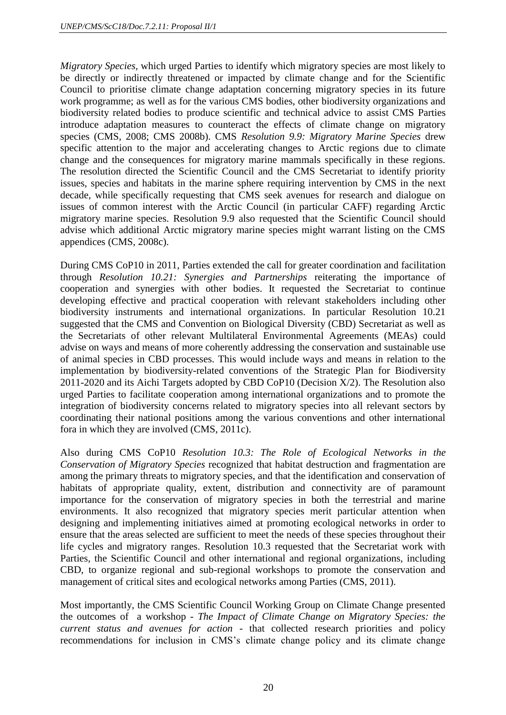*Migratory Species,* which urged Parties to identify which migratory species are most likely to be directly or indirectly threatened or impacted by climate change and for the Scientific Council to prioritise climate change adaptation concerning migratory species in its future work programme; as well as for the various CMS bodies, other biodiversity organizations and biodiversity related bodies to produce scientific and technical advice to assist CMS Parties introduce adaptation measures to counteract the effects of climate change on migratory species (CMS, 2008; CMS 2008b). CMS *Resolution 9.9: Migratory Marine Species* drew specific attention to the major and accelerating changes to Arctic regions due to climate change and the consequences for migratory marine mammals specifically in these regions. The resolution directed the Scientific Council and the CMS Secretariat to identify priority issues, species and habitats in the marine sphere requiring intervention by CMS in the next decade, while specifically requesting that CMS seek avenues for research and dialogue on issues of common interest with the Arctic Council (in particular CAFF) regarding Arctic migratory marine species. Resolution 9.9 also requested that the Scientific Council should advise which additional Arctic migratory marine species might warrant listing on the CMS appendices (CMS, 2008c).

During CMS CoP10 in 2011, Parties extended the call for greater coordination and facilitation through *Resolution 10.21: Synergies and Partnerships* reiterating the importance of cooperation and synergies with other bodies. It requested the Secretariat to continue developing effective and practical cooperation with relevant stakeholders including other biodiversity instruments and international organizations. In particular Resolution 10.21 suggested that the CMS and Convention on Biological Diversity (CBD) Secretariat as well as the Secretariats of other relevant Multilateral Environmental Agreements (MEAs) could advise on ways and means of more coherently addressing the conservation and sustainable use of animal species in CBD processes. This would include ways and means in relation to the implementation by biodiversity-related conventions of the Strategic Plan for Biodiversity 2011-2020 and its Aichi Targets adopted by CBD CoP10 (Decision X/2). The Resolution also urged Parties to facilitate cooperation among international organizations and to promote the integration of biodiversity concerns related to migratory species into all relevant sectors by coordinating their national positions among the various conventions and other international fora in which they are involved (CMS, 2011c).

Also during CMS CoP10 *Resolution 10.3: The Role of Ecological Networks in the Conservation of Migratory Species* recognized that habitat destruction and fragmentation are among the primary threats to migratory species, and that the identification and conservation of habitats of appropriate quality, extent, distribution and connectivity are of paramount importance for the conservation of migratory species in both the terrestrial and marine environments. It also recognized that migratory species merit particular attention when designing and implementing initiatives aimed at promoting ecological networks in order to ensure that the areas selected are sufficient to meet the needs of these species throughout their life cycles and migratory ranges. Resolution 10.3 requested that the Secretariat work with Parties, the Scientific Council and other international and regional organizations, including CBD, to organize regional and sub-regional workshops to promote the conservation and management of critical sites and ecological networks among Parties (CMS, 2011).

Most importantly, the CMS Scientific Council Working Group on Climate Change presented the outcomes of a workshop - *The Impact of Climate Change on Migratory Species: the current status and avenues for action* - that collected research priorities and policy recommendations for inclusion in CMS's climate change policy and its climate change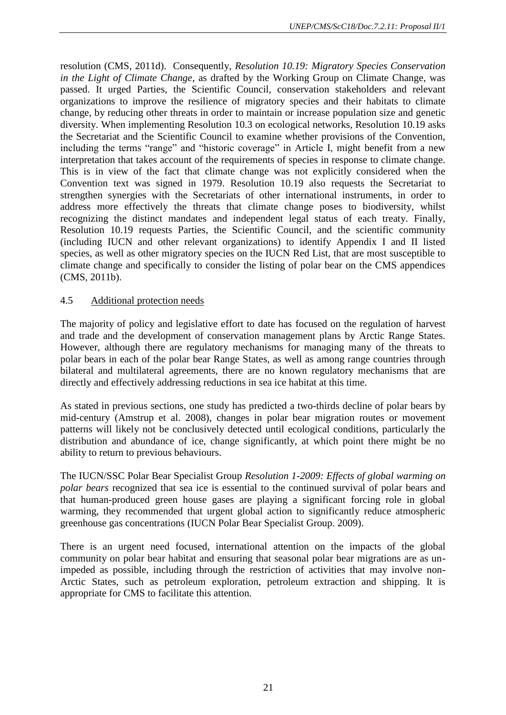resolution (CMS, 2011d). Consequently, *Resolution 10.19: Migratory Species Conservation in the Light of Climate Change*, as drafted by the Working Group on Climate Change, was passed. It urged Parties, the Scientific Council, conservation stakeholders and relevant organizations to improve the resilience of migratory species and their habitats to climate change, by reducing other threats in order to maintain or increase population size and genetic diversity. When implementing Resolution 10.3 on ecological networks, Resolution 10.19 asks the Secretariat and the Scientific Council to examine whether provisions of the Convention, including the terms "range" and "historic coverage" in Article I, might benefit from a new interpretation that takes account of the requirements of species in response to climate change. This is in view of the fact that climate change was not explicitly considered when the Convention text was signed in 1979. Resolution 10.19 also requests the Secretariat to strengthen synergies with the Secretariats of other international instruments, in order to address more effectively the threats that climate change poses to biodiversity, whilst recognizing the distinct mandates and independent legal status of each treaty. Finally, Resolution 10.19 requests Parties, the Scientific Council, and the scientific community (including IUCN and other relevant organizations) to identify Appendix I and II listed species, as well as other migratory species on the IUCN Red List, that are most susceptible to climate change and specifically to consider the listing of polar bear on the CMS appendices (CMS, 2011b).

## 4.5 Additional protection needs

The majority of policy and legislative effort to date has focused on the regulation of harvest and trade and the development of conservation management plans by Arctic Range States. However, although there are regulatory mechanisms for managing many of the threats to polar bears in each of the polar bear Range States, as well as among range countries through bilateral and multilateral agreements, there are no known regulatory mechanisms that are directly and effectively addressing reductions in sea ice habitat at this time.

As stated in previous sections, one study has predicted a two-thirds decline of polar bears by mid-century (Amstrup et al. 2008), changes in polar bear migration routes or movement patterns will likely not be conclusively detected until ecological conditions, particularly the distribution and abundance of ice, change significantly, at which point there might be no ability to return to previous behaviours.

The IUCN/SSC Polar Bear Specialist Group *Resolution 1-2009: Effects of global warming on polar bears* recognized that sea ice is essential to the continued survival of polar bears and that human-produced green house gases are playing a significant forcing role in global warming, they recommended that urgent global action to significantly reduce atmospheric greenhouse gas concentrations (IUCN Polar Bear Specialist Group. 2009).

There is an urgent need focused, international attention on the impacts of the global community on polar bear habitat and ensuring that seasonal polar bear migrations are as unimpeded as possible, including through the restriction of activities that may involve non-Arctic States, such as petroleum exploration, petroleum extraction and shipping. It is appropriate for CMS to facilitate this attention.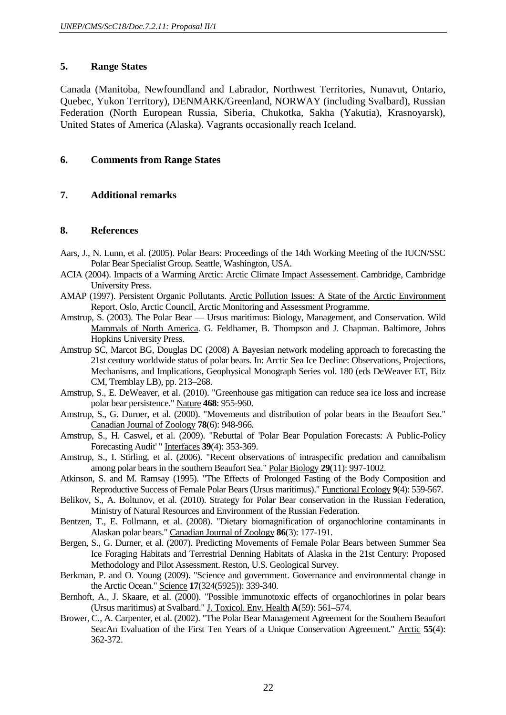## **5. Range States**

Canada (Manitoba, Newfoundland and Labrador, Northwest Territories, Nunavut, Ontario, Quebec, Yukon Territory), DENMARK/Greenland, NORWAY (including Svalbard), Russian Federation (North European Russia, Siberia, Chukotka, Sakha (Yakutia), Krasnoyarsk), United States of America (Alaska). Vagrants occasionally reach Iceland.

## **6. Comments from Range States**

## **7. Additional remarks**

#### **8. References**

- Aars, J., N. Lunn, et al. (2005). Polar Bears: Proceedings of the 14th Working Meeting of the IUCN/SSC Polar Bear Specialist Group. Seattle, Washington, USA.
- ACIA (2004). Impacts of a Warming Arctic: Arctic Climate Impact Assessement. Cambridge, Cambridge University Press.
- AMAP (1997). Persistent Organic Pollutants. Arctic Pollution Issues: A State of the Arctic Environment Report. Oslo, Arctic Council, Arctic Monitoring and Assessment Programme.
- Amstrup, S. (2003). The Polar Bear Ursus maritimus: Biology, Management, and Conservation. Wild Mammals of North America. G. Feldhamer, B. Thompson and J. Chapman. Baltimore, Johns Hopkins University Press.
- Amstrup SC, Marcot BG, Douglas DC (2008) A Bayesian network modeling approach to forecasting the 21st century worldwide status of polar bears. In: Arctic Sea Ice Decline: Observations, Projections, Mechanisms, and Implications, Geophysical Monograph Series vol. 180 (eds DeWeaver ET, Bitz CM, Tremblay LB), pp. 213–268.
- Amstrup, S., E. DeWeaver, et al. (2010). "Greenhouse gas mitigation can reduce sea ice loss and increase polar bear persistence." Nature **468**: 955-960.
- Amstrup, S., G. Durner, et al. (2000). "Movements and distribution of polar bears in the Beaufort Sea." Canadian Journal of Zoology **78**(6): 948-966.
- Amstrup, S., H. Caswel, et al. (2009). "Rebuttal of 'Polar Bear Population Forecasts: A Public-Policy Forecasting Audit' " Interfaces **39**(4): 353-369.
- Amstrup, S., I. Stirling, et al. (2006). "Recent observations of intraspecific predation and cannibalism among polar bears in the southern Beaufort Sea." Polar Biology **29**(11): 997-1002.
- Atkinson, S. and M. Ramsay (1995). "The Effects of Prolonged Fasting of the Body Composition and Reproductive Success of Female Polar Bears (Ursus maritimus)." Functional Ecology **9**(4): 559-567.
- Belikov, S., A. Boltunov, et al. (2010). Strategy for Polar Bear conservation in the Russian Federation, Ministry of Natural Resources and Environment of the Russian Federation.
- Bentzen, T., E. Follmann, et al. (2008). "Dietary biomagnification of organochlorine contaminants in Alaskan polar bears." Canadian Journal of Zoology **86**(3): 177-191.
- Bergen, S., G. Durner, et al. (2007). Predicting Movements of Female Polar Bears between Summer Sea Ice Foraging Habitats and Terrestrial Denning Habitats of Alaska in the 21st Century: Proposed Methodology and Pilot Assessment. Reston, U.S. Geological Survey.
- Berkman, P. and O. Young (2009). "Science and government. Governance and environmental change in the Arctic Ocean." Science **17**(324(5925)): 339-340.
- Bernhoft, A., J. Skaare, et al. (2000). "Possible immunotoxic effects of organochlorines in polar bears (Ursus maritimus) at Svalbard." J. Toxicol. Env. Health **A**(59): 561–574.
- Brower, C., A. Carpenter, et al. (2002). "The Polar Bear Management Agreement for the Southern Beaufort Sea:An Evaluation of the First Ten Years of a Unique Conservation Agreement." Arctic **55**(4): 362-372.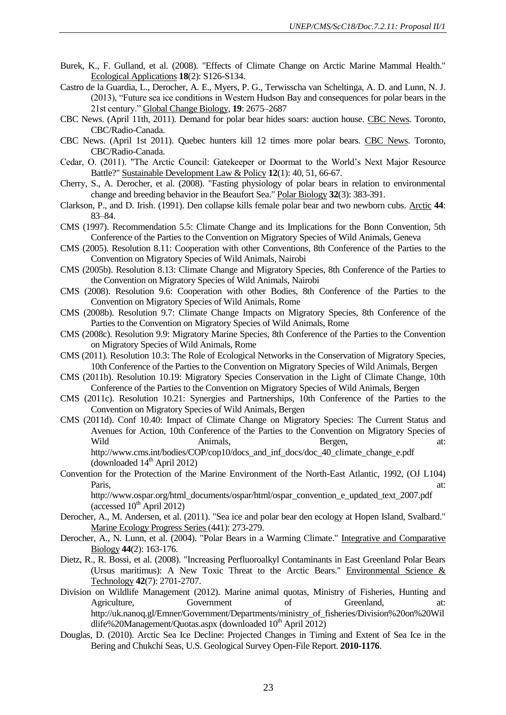- Burek, K., F. Gulland, et al. (2008). "Effects of Climate Change on Arctic Marine Mammal Health." Ecological Applications **18**(2): S126-S134.
- Castro de la Guardia, L., Derocher, A. E., Myers, P. G., Terwisscha van Scheltinga, A. D. and Lunn, N. J. (2013), "Future sea ice conditions in Western Hudson Bay and consequences for polar bears in the 21st century." Global Change Biology, **19**: 2675–2687
- CBC News. (April 11th, 2011). Demand for polar bear hides soars: auction house. CBC News. Toronto, CBC/Radio-Canada.
- CBC News. (April 1st 2011). Quebec hunters kill 12 times more polar bears. CBC News. Toronto, CBC/Radio-Canada.
- Cedar, O. (2011). "The Arctic Council: Gatekeeper or Doormat to the World's Next Major Resource Battle?" Sustainable Development Law & Policy **12**(1): 40, 51, 66-67.
- Cherry, S., A. Derocher, et al. (2008). "Fasting physiology of polar bears in relation to environmental change and breeding behavior in the Beaufort Sea." Polar Biology **32**(3): 383-391.
- Clarkson, P., and D. Irish. (1991). Den collapse kills female polar bear and two newborn cubs. Arctic **44**: 83–84.
- CMS (1997). Recommendation 5.5: Climate Change and its Implications for the Bonn Convention, 5th Conference of the Parties to the Convention on Migratory Species of Wild Animals, Geneva
- CMS (2005). Resolution 8.11: Cooperation with other Conventions, 8th Conference of the Parties to the Convention on Migratory Species of Wild Animals, Nairobi
- CMS (2005b). Resolution 8.13: Climate Change and Migratory Species, 8th Conference of the Parties to the Convention on Migratory Species of Wild Animals, Nairobi
- CMS (2008). Resolution 9.6: Cooperation with other Bodies, 8th Conference of the Parties to the Convention on Migratory Species of Wild Animals, Rome
- CMS (2008b). Resolution 9.7: Climate Change Impacts on Migratory Species, 8th Conference of the Parties to the Convention on Migratory Species of Wild Animals, Rome
- CMS (2008c). Resolution 9.9: Migratory Marine Species, 8th Conference of the Parties to the Convention on Migratory Species of Wild Animals, Rome
- CMS (2011). Resolution 10.3: The Role of Ecological Networks in the Conservation of Migratory Species, 10th Conference of the Parties to the Convention on Migratory Species of Wild Animals, Bergen
- CMS (2011b). Resolution 10.19: Migratory Species Conservation in the Light of Climate Change, 10th Conference of the Parties to the Convention on Migratory Species of Wild Animals, Bergen
- CMS (2011c). Resolution 10.21: Synergies and Partnerships, 10th Conference of the Parties to the Convention on Migratory Species of Wild Animals, Bergen
- CMS (2011d). Conf 10.40: Impact of Climate Change on Migratory Species: The Current Status and Avenues for Action, 10th Conference of the Parties to the Convention on Migratory Species of Wild Animals, Bergen, at: http://www.cms.int/bodies/COP/cop10/docs\_and\_inf\_docs/doc\_40\_climate\_change\_e.pdf (downloaded  $14<sup>th</sup>$  April 2012)
- Convention for the Protection of the Marine Environment of the North-East Atlantic, 1992, (OJ L104) Paris, at:

http://www.ospar.org/html\_documents/ospar/html/ospar\_convention\_e\_updated\_text\_2007.pdf (accessed  $10^{th}$  April 2012)

- Derocher, A., M. Andersen, et al. (2011). "Sea ice and polar bear den ecology at Hopen Island, Svalbard." Marine Ecology Progress Series (441): 273-279.
- Derocher, A., N. Lunn, et al. (2004). "Polar Bears in a Warming Climate." Integrative and Comparative Biology **44**(2): 163-176.
- Dietz, R., R. Bossi, et al. (2008). "Increasing Perfluoroalkyl Contaminants in East Greenland Polar Bears (Ursus maritimus): A New Toxic Threat to the Arctic Bears." Environmental Science  $\&$ Technology **42**(7): 2701-2707.
- Division on Wildlife Management (2012). Marine animal quotas, Ministry of Fisheries, Hunting and Agriculture, Government of Greenland, at: http://uk.nanoq.gl/Emner/Government/Departments/ministry\_of\_fisheries/Division%20on%20Wil dlife%20Management/Quotas.aspx (downloaded 10<sup>th</sup> April 2012)
- Douglas, D. (2010). Arctic Sea Ice Decline: Projected Changes in Timing and Extent of Sea Ice in the Bering and Chukchi Seas, U.S. Geological Survey Open-File Report. **2010-1176**.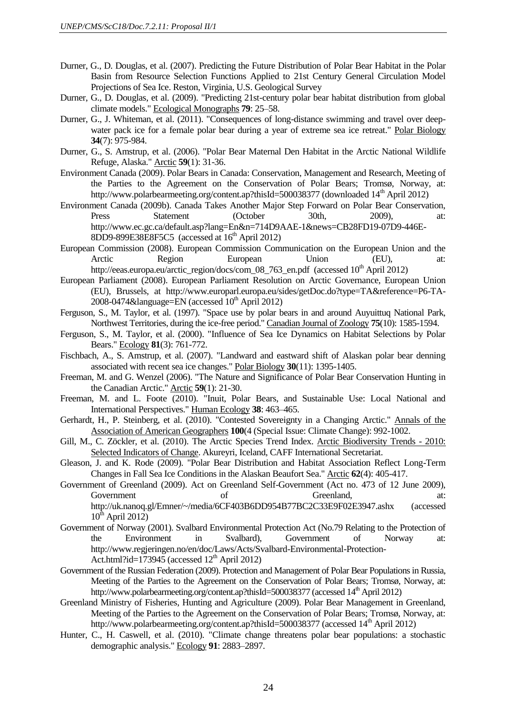- Durner, G., D. Douglas, et al. (2007). Predicting the Future Distribution of Polar Bear Habitat in the Polar Basin from Resource Selection Functions Applied to 21st Century General Circulation Model Projections of Sea Ice. Reston, Virginia, U.S. Geological Survey
- Durner, G., D. Douglas, et al. (2009). "Predicting 21st-century polar bear habitat distribution from global climate models." Ecological Monographs **79**: 25–58.
- Durner, G., J. Whiteman, et al. (2011). "Consequences of long-distance swimming and travel over deepwater pack ice for a female polar bear during a year of extreme sea ice retreat." Polar Biology **34**(7): 975-984.
- Durner, G., S. Amstrup, et al. (2006). "Polar Bear Maternal Den Habitat in the Arctic National Wildlife Refuge, Alaska." Arctic **59**(1): 31-36.
- Environment Canada (2009). Polar Bears in Canada: Conservation, Management and Research, Meeting of the Parties to the Agreement on the Conservation of Polar Bears; Tromsø, Norway, at: http://www.polarbearmeeting.org/content.ap?thisId=500038377 (downloaded 14<sup>th</sup> April 2012)
- Environment Canada (2009b). Canada Takes Another Major Step Forward on Polar Bear Conservation, Press Statement (October 30th, 2009), at: http://www.ec.gc.ca/default.asp?lang=En&n=714D9AAE-1&news=CB28FD19-07D9-446E-8DD9-899E38E8F5C5 (accessed at  $16<sup>th</sup>$  April 2012)
- European Commission (2008). European Commission Communication on the European Union and the Arctic Region European Union (EU), at: http://eeas.europa.eu/arctic\_region/docs/com\_08\_763\_en.pdf (accessed 10<sup>th</sup> April 2012)
- European Parliament (2008). European Parliament Resolution on Arctic Governance, European Union (EU), Brussels, at http://www.europarl.europa.eu/sides/getDoc.do?type=TA&reference=P6-TA- $2008-0474\&$ language=EN (accessed  $10<sup>th</sup>$  April 2012)
- Ferguson, S., M. Taylor, et al. (1997). "Space use by polar bears in and around Auyuittuq National Park, Northwest Territories, during the ice-free period." Canadian Journal of Zoology **75**(10): 1585-1594.
- Ferguson, S., M. Taylor, et al. (2000). "Influence of Sea Ice Dynamics on Habitat Selections by Polar Bears." Ecology **81**(3): 761-772.
- Fischbach, A., S. Amstrup, et al. (2007). "Landward and eastward shift of Alaskan polar bear denning associated with recent sea ice changes." Polar Biology **30**(11): 1395-1405.
- Freeman, M. and G. Wenzel (2006). "The Nature and Significance of Polar Bear Conservation Hunting in the Canadian Arctic." Arctic **59**(1): 21-30.
- Freeman, M. and L. Foote (2010). "Inuit, Polar Bears, and Sustainable Use: Local National and International Perspectives." Human Ecology **38**: 463–465.
- Gerhardt, H., P. Steinberg, et al. (2010). "Contested Sovereignty in a Changing Arctic." Annals of the Association of American Geographers **100**(4 (Special Issue: Climate Change): 992-1002.
- Gill, M., C. Zöckler, et al. (2010). The Arctic Species Trend Index. Arctic Biodiversity Trends 2010: Selected Indicators of Change. Akureyri, Iceland, CAFF International Secretariat.
- Gleason, J. and K. Rode (2009). "Polar Bear Distribution and Habitat Association Reflect Long-Term Changes in Fall Sea Ice Conditions in the Alaskan Beaufort Sea." Arctic **62**(4): 405-417.
- Government of Greenland (2009). Act on Greenland Self-Government (Act no. 473 of 12 June 2009), Government of Greenland, at: http://uk.nanoq.gl/Emner/~/media/6CF403B6DD954B77BC2C33E9F02E3947.ashx (accessed  $10^{th}$  April 2012)
- Government of Norway (2001). Svalbard Environmental Protection Act (No.79 Relating to the Protection of the Environment in Svalbard), Government of Norway at: http://www.regjeringen.no/en/doc/Laws/Acts/Svalbard-Environmental-Protection-Act.html?id=173945 (accessed  $12<sup>th</sup>$  April 2012)
- Government of the Russian Federation (2009). Protection and Management of Polar Bear Populations in Russia, Meeting of the Parties to the Agreement on the Conservation of Polar Bears; Tromsø, Norway, at: http://www.polarbearmeeting.org/content.ap?thisId=500038377 (accessed 14<sup>th</sup> April 2012)
- Greenland Ministry of Fisheries, Hunting and Agriculture (2009). Polar Bear Management in Greenland, Meeting of the Parties to the Agreement on the Conservation of Polar Bears; Tromsø, Norway, at: http://www.polarbearmeeting.org/content.ap?thisId=500038377 (accessed 14<sup>th</sup> April 2012)
- Hunter, C., H. Caswell, et al. (2010). "Climate change threatens polar bear populations: a stochastic demographic analysis." Ecology **91**: 2883–2897.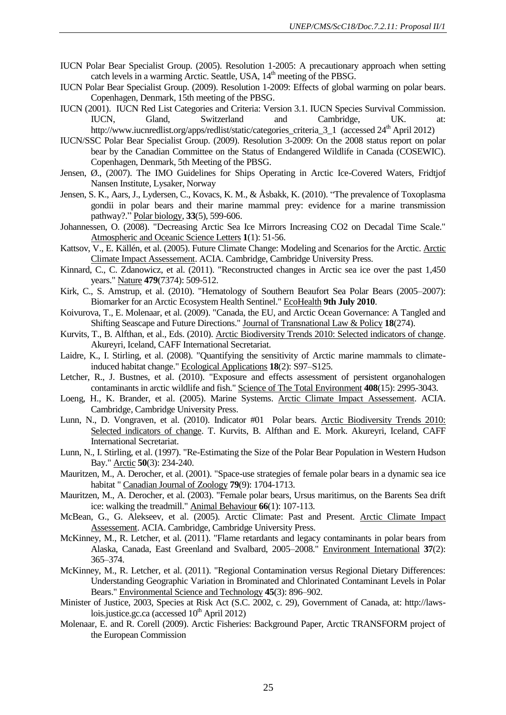- IUCN Polar Bear Specialist Group. (2005). Resolution 1-2005: A precautionary approach when setting catch levels in a warming Arctic. Seattle, USA, 14<sup>th</sup> meeting of the PBSG.
- IUCN Polar Bear Specialist Group. (2009). Resolution 1-2009: Effects of global warming on polar bears. Copenhagen, Denmark, 15th meeting of the PBSG.
- IUCN (2001). IUCN Red List Categories and Criteria: Version 3.1. IUCN Species Survival Commission. IUCN, Gland, Switzerland and Cambridge, UK. at: http://www.iucnredlist.org/apps/redlist/static/categories\_criteria\_3\_1 (accessed 24<sup>th</sup> April 2012)
- IUCN/SSC Polar Bear Specialist Group. (2009). Resolution 3-2009: On the 2008 status report on polar bear by the Canadian Committee on the Status of Endangered Wildlife in Canada (COSEWIC). Copenhagen, Denmark, 5th Meeting of the PBSG.
- Jensen, Ø., (2007). The IMO Guidelines for Ships Operating in Arctic Ice-Covered Waters, Fridtjof Nansen Institute, Lysaker, Norway
- Jensen, S. K., Aars, J., Lydersen, C., Kovacs, K. M., & Åsbakk, K. (2010). "The prevalence of Toxoplasma gondii in polar bears and their marine mammal prey: evidence for a marine transmission pathway?." Polar biology, **33**(5), 599-606.
- Johannessen, O. (2008). "Decreasing Arctic Sea Ice Mirrors Increasing CO2 on Decadal Time Scale." Atmospheric and Oceanic Science Letters **1**(1): 51-56.
- Kattsov, V., E. Källén, et al. (2005). Future Climate Change: Modeling and Scenarios for the Arctic. Arctic Climate Impact Assessement. ACIA. Cambridge, Cambridge University Press.
- Kinnard, C., C. Zdanowicz, et al. (2011). "Reconstructed changes in Arctic sea ice over the past 1,450 years." Nature **479**(7374): 509-512.
- Kirk, C., S. Amstrup, et al. (2010). "Hematology of Southern Beaufort Sea Polar Bears (2005–2007): Biomarker for an Arctic Ecosystem Health Sentinel." EcoHealth **9th July 2010**.
- Koivurova, T., E. Molenaar, et al. (2009). "Canada, the EU, and Arctic Ocean Governance: A Tangled and Shifting Seascape and Future Directions." Journal of Transnational Law & Policy **18**(274).
- Kurvits, T., B. Alfthan, et al., Eds. (2010). Arctic Biodiversity Trends 2010: Selected indicators of change. Akureyri, Iceland, CAFF International Secretariat.
- Laidre, K., I. Stirling, et al. (2008). "Quantifying the sensitivity of Arctic marine mammals to climateinduced habitat change." Ecological Applications **18**(2): S97–S125.
- Letcher, R., J. Bustnes, et al. (2010). "Exposure and effects assessment of persistent organohalogen contaminants in arctic wildlife and fish." Science of The Total Environment **408**(15): 2995-3043.
- Loeng, H., K. Brander, et al. (2005). Marine Systems. Arctic Climate Impact Assessement. ACIA. Cambridge, Cambridge University Press.
- Lunn, N., D. Vongraven, et al. (2010). Indicator #01 Polar bears. Arctic Biodiversity Trends 2010: Selected indicators of change. T. Kurvits, B. Alfthan and E. Mork. Akureyri, Iceland, CAFF International Secretariat.
- Lunn, N., I. Stirling, et al. (1997). "Re-Estimating the Size of the Polar Bear Population in Western Hudson Bay." Arctic **50**(3): 234-240.
- Mauritzen, M., A. Derocher, et al. (2001). "Space-use strategies of female polar bears in a dynamic sea ice habitat " Canadian Journal of Zoology **79**(9): 1704-1713.
- Mauritzen, M., A. Derocher, et al. (2003). "Female polar bears, Ursus maritimus, on the Barents Sea drift ice: walking the treadmill." Animal Behaviour **66**(1): 107-113.
- McBean, G., G. Alekseev, et al. (2005). Arctic Climate: Past and Present. Arctic Climate Impact Assessement. ACIA. Cambridge, Cambridge University Press.
- McKinney, M., R. Letcher, et al. (2011). "Flame retardants and legacy contaminants in polar bears from Alaska, Canada, East Greenland and Svalbard, 2005–2008." Environment International **37**(2): 365–374.
- McKinney, M., R. Letcher, et al. (2011). "Regional Contamination versus Regional Dietary Differences: Understanding Geographic Variation in Brominated and Chlorinated Contaminant Levels in Polar Bears." Environmental Science and Technology **45**(3): 896–902.
- Minister of Justice, 2003, Species at Risk Act (S.C. 2002, c. 29), Government of Canada, at: http://lawslois.justice.gc.ca (accessed  $10^{th}$  April 2012)
- Molenaar, E. and R. Corell (2009). Arctic Fisheries: Background Paper, Arctic TRANSFORM project of the European Commission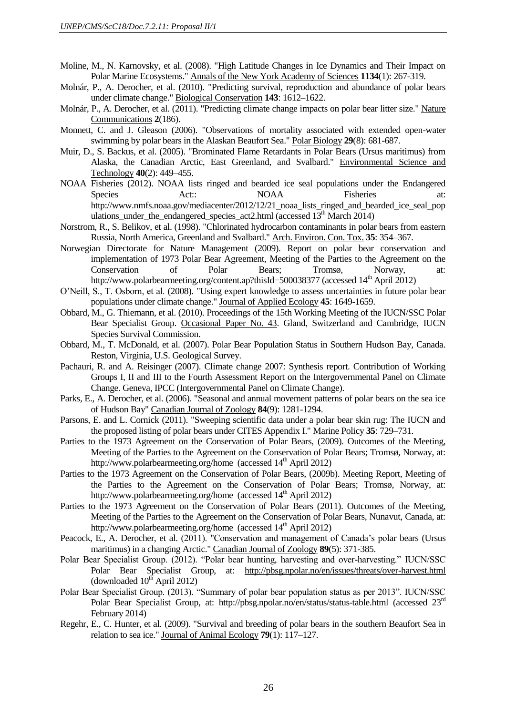- Moline, M., N. Karnovsky, et al. (2008). "High Latitude Changes in Ice Dynamics and Their Impact on Polar Marine Ecosystems." Annals of the New York Academy of Sciences **1134**(1): 267-319.
- Molnár, P., A. Derocher, et al. (2010). "Predicting survival, reproduction and abundance of polar bears under climate change." Biological Conservation **143**: 1612–1622.
- Molnár, P., A. Derocher, et al. (2011). "Predicting climate change impacts on polar bear litter size." Nature Communications **2**(186).
- Monnett, C. and J. Gleason (2006). "Observations of mortality associated with extended open-water swimming by polar bears in the Alaskan Beaufort Sea." Polar Biology **29**(8): 681-687.
- Muir, D., S. Backus, et al. (2005). "Brominated Flame Retardants in Polar Bears (Ursus maritimus) from Alaska, the Canadian Arctic, East Greenland, and Svalbard." Environmental Science and Technology **40**(2): 449–455.
- NOAA Fisheries (2012). NOAA lists ringed and bearded ice seal populations under the Endangered Species Act:: NOAA Fisheries at: http://www.nmfs.noaa.gov/mediacenter/2012/12/21\_noaa\_lists\_ringed\_and\_bearded\_ice\_seal\_pop ulations\_under\_the\_endangered\_species\_act2.html (accessed 13<sup>th</sup> March 2014)
- Norstrom, R., S. Belikov, et al. (1998). "Chlorinated hydrocarbon contaminants in polar bears from eastern Russia, North America, Greenland and Svalbard." Arch. Environ. Con. Tox. **35**: 354–367.
- Norwegian Directorate for Nature Management (2009). Report on polar bear conservation and implementation of 1973 Polar Bear Agreement, Meeting of the Parties to the Agreement on the Conservation of Polar Bears; Tromsø, Norway, at: http://www.polarbearmeeting.org/content.ap?thisId=500038377 (accessed 14<sup>th</sup> April 2012)
- O'Neill, S., T. Osborn, et al. (2008). "Using expert knowledge to assess uncertainties in future polar bear populations under climate change." Journal of Applied Ecology **45**: 1649-1659.
- Obbard, M., G. Thiemann, et al. (2010). Proceedings of the 15th Working Meeting of the IUCN/SSC Polar Bear Specialist Group. Occasional Paper No. 43. Gland, Switzerland and Cambridge, IUCN Species Survival Commission.
- Obbard, M., T. McDonald, et al. (2007). Polar Bear Population Status in Southern Hudson Bay, Canada. Reston, Virginia, U.S. Geological Survey.
- Pachauri, R. and A. Reisinger (2007). Climate change 2007: Synthesis report. Contribution of Working Groups I, II and III to the Fourth Assessment Report on the Intergovernmental Panel on Climate Change. Geneva, IPCC (Intergovernmental Panel on Climate Change).
- Parks, E., A. Derocher, et al. (2006). "Seasonal and annual movement patterns of polar bears on the sea ice of Hudson Bay" Canadian Journal of Zoology **84**(9): 1281-1294.
- Parsons, E. and L. Cornick (2011). "Sweeping scientific data under a polar bear skin rug: The IUCN and the proposed listing of polar bears under CITES Appendix I." Marine Policy **35**: 729–731.
- Parties to the 1973 Agreement on the Conservation of Polar Bears, (2009). Outcomes of the Meeting, Meeting of the Parties to the Agreement on the Conservation of Polar Bears; Tromsø, Norway, at: http://www.polarbearmeeting.org/home (accessed  $14<sup>th</sup>$  April 2012)
- Parties to the 1973 Agreement on the Conservation of Polar Bears, (2009b). Meeting Report, Meeting of the Parties to the Agreement on the Conservation of Polar Bears; Tromsø, Norway, at: http://www.polarbearmeeting.org/home (accessed 14<sup>th</sup> April 2012)
- Parties to the 1973 Agreement on the Conservation of Polar Bears (2011). Outcomes of the Meeting, Meeting of the Parties to the Agreement on the Conservation of Polar Bears, Nunavut, Canada, at: http://www.polarbearmeeting.org/home (accessed  $14<sup>th</sup>$  April 2012)
- Peacock, E., A. Derocher, et al. (2011). "Conservation and management of Canada's polar bears (Ursus maritimus) in a changing Arctic." Canadian Journal of Zoology **89**(5): 371-385.
- Polar Bear Specialist Group. (2012). "Polar bear hunting, harvesting and over-harvesting." IUCN/SSC Polar Bear Specialist Group, at: <http://pbsg.npolar.no/en/issues/threats/over-harvest.html> (downloaded  $10^{th}$  April 2012)
- Polar Bear Specialist Group. (2013). "Summary of polar bear population status as per 2013". IUCN/SSC Polar Bear Specialist Group, at: <http://pbsg.npolar.no/en/status/status-table.html> (accessed 23<sup>rd</sup>) February 2014)
- Regehr, E., C. Hunter, et al. (2009). "Survival and breeding of polar bears in the southern Beaufort Sea in relation to sea ice." Journal of Animal Ecology **79**(1): 117–127.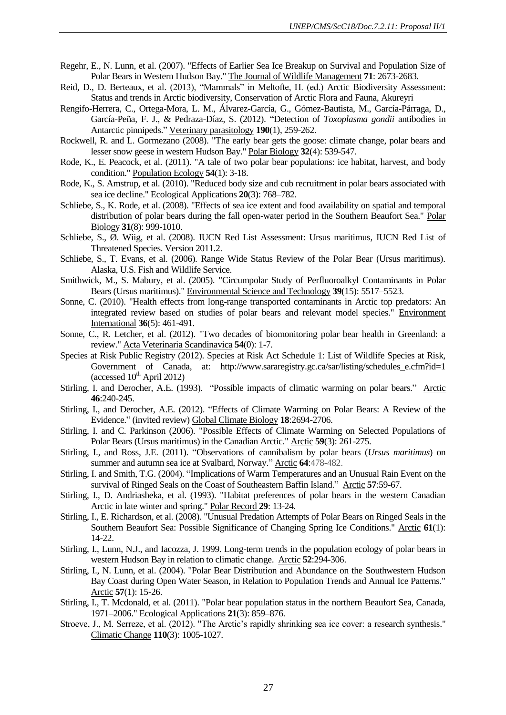- Regehr, E., N. Lunn, et al. (2007). "Effects of Earlier Sea Ice Breakup on Survival and Population Size of Polar Bears in Western Hudson Bay." The Journal of Wildlife Management **71**: 2673-2683.
- Reid, D., D. Berteaux, et al. (2013), "Mammals" in Meltofte, H. (ed.) Arctic Biodiversity Assessment: Status and trends in Arctic biodiversity, Conservation of Arctic Flora and Fauna, Akureyri
- Rengifo-Herrera, C., Ortega-Mora, L. M., Álvarez-García, G., Gómez-Bautista, M., García-Párraga, D., García-Peña, F. J., & Pedraza-Díaz, S. (2012). "Detection of *Toxoplasma gondii* antibodies in Antarctic pinnipeds." Veterinary parasitology **190**(1), 259-262.
- Rockwell, R. and L. Gormezano (2008). "The early bear gets the goose: climate change, polar bears and lesser snow geese in western Hudson Bay." Polar Biology **32**(4): 539-547.
- Rode, K., E. Peacock, et al. (2011). "A tale of two polar bear populations: ice habitat, harvest, and body condition." Population Ecology **54**(1): 3-18.
- Rode, K., S. Amstrup, et al. (2010). "Reduced body size and cub recruitment in polar bears associated with sea ice decline." Ecological Applications **20**(3): 768–782.
- Schliebe, S., K. Rode, et al. (2008). "Effects of sea ice extent and food availability on spatial and temporal distribution of polar bears during the fall open-water period in the Southern Beaufort Sea." Polar Biology **31**(8): 999-1010.
- Schliebe, S., Ø. Wiig, et al. (2008). IUCN Red List Assessment: Ursus maritimus, IUCN Red List of Threatened Species. Version 2011.2.
- Schliebe, S., T. Evans, et al. (2006). Range Wide Status Review of the Polar Bear (Ursus maritimus). Alaska, U.S. Fish and Wildlife Service.
- Smithwick, M., S. Mabury, et al. (2005). "Circumpolar Study of Perfluoroalkyl Contaminants in Polar Bears (Ursus maritimus)." Environmental Science and Technology **39**(15): 5517–5523.
- Sonne, C. (2010). "Health effects from long-range transported contaminants in Arctic top predators: An integrated review based on studies of polar bears and relevant model species." Environment International **36**(5): 461-491.
- Sonne, C., R. Letcher, et al. (2012). "Two decades of biomonitoring polar bear health in Greenland: a review." Acta Veterinaria Scandinavica **54**(0): 1-7.
- Species at Risk Public Registry (2012). Species at Risk Act Schedule 1: List of Wildlife Species at Risk, Government of Canada, at: http://www.sararegistry.gc.ca/sar/listing/schedules\_e.cfm?id=1 (accessed  $10^{th}$  April 2012)
- Stirling, I. and Derocher, A.E. (1993). "Possible impacts of climatic warming on polar bears." Arctic **46**:240-245.
- Stirling, I., and Derocher, A.E. (2012). "Effects of Climate Warming on Polar Bears: A Review of the Evidence." (invited review) Global Climate Biology **18**:2694-2706.
- Stirling, I. and C. Parkinson (2006). "Possible Effects of Climate Warming on Selected Populations of Polar Bears (Ursus maritimus) in the Canadian Arctic." Arctic **59**(3): 261-275.
- Stirling, I., and Ross, J.E. (2011). "Observations of cannibalism by polar bears (*Ursus maritimus*) on summer and autumn sea ice at Svalbard, Norway." Arctic **64**:478-482.
- Stirling, I. and Smith, T.G. (2004). "Implications of Warm Temperatures and an Unusual Rain Event on the survival of Ringed Seals on the Coast of Southeastern Baffin Island." Arctic **57**:59-67.
- Stirling, I., D. Andriasheka, et al. (1993). "Habitat preferences of polar bears in the western Canadian Arctic in late winter and spring." Polar Record **29**: 13-24.
- Stirling, I., E. Richardson, et al. (2008). "Unusual Predation Attempts of Polar Bears on Ringed Seals in the Southern Beaufort Sea: Possible Significance of Changing Spring Ice Conditions." Arctic **61**(1): 14-22.
- Stirling, I., Lunn, N.J., and Iacozza, J. 1999. Long-term trends in the population ecology of polar bears in western Hudson Bay in relation to climatic change. Arctic **52**:294-306.
- Stirling, I., N. Lunn, et al. (2004). "Polar Bear Distribution and Abundance on the Southwestern Hudson Bay Coast during Open Water Season, in Relation to Population Trends and Annual Ice Patterns." Arctic **57**(1): 15-26.
- Stirling, I., T. Mcdonald, et al. (2011). "Polar bear population status in the northern Beaufort Sea, Canada, 1971–2006." Ecological Applications **21**(3): 859–876.
- Stroeve, J., M. Serreze, et al. (2012). "The Arctic's rapidly shrinking sea ice cover: a research synthesis." Climatic Change **110**(3): 1005-1027.